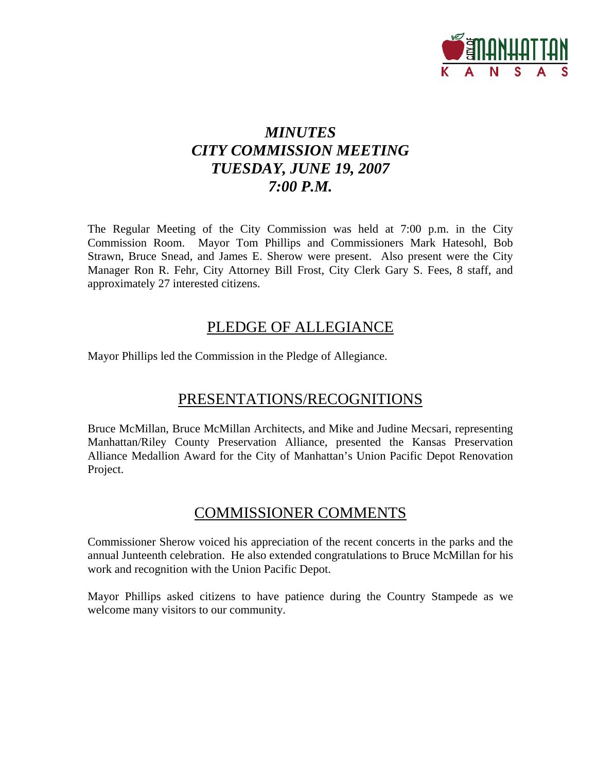

# *MINUTES CITY COMMISSION MEETING TUESDAY, JUNE 19, 2007 7:00 P.M.*

The Regular Meeting of the City Commission was held at 7:00 p.m. in the City Commission Room. Mayor Tom Phillips and Commissioners Mark Hatesohl, Bob Strawn, Bruce Snead, and James E. Sherow were present. Also present were the City Manager Ron R. Fehr, City Attorney Bill Frost, City Clerk Gary S. Fees, 8 staff, and approximately 27 interested citizens.

# PLEDGE OF ALLEGIANCE

Mayor Phillips led the Commission in the Pledge of Allegiance.

# PRESENTATIONS/RECOGNITIONS

Bruce McMillan, Bruce McMillan Architects, and Mike and Judine Mecsari, representing Manhattan/Riley County Preservation Alliance, presented the Kansas Preservation Alliance Medallion Award for the City of Manhattan's Union Pacific Depot Renovation Project.

# COMMISSIONER COMMENTS

Commissioner Sherow voiced his appreciation of the recent concerts in the parks and the annual Junteenth celebration. He also extended congratulations to Bruce McMillan for his work and recognition with the Union Pacific Depot.

Mayor Phillips asked citizens to have patience during the Country Stampede as we welcome many visitors to our community.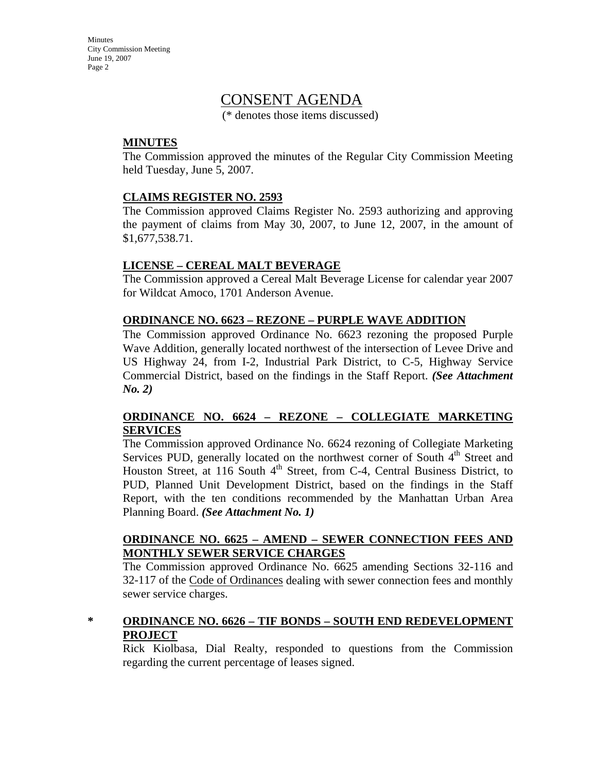# CONSENT AGENDA

(\* denotes those items discussed)

### **MINUTES**

The Commission approved the minutes of the Regular City Commission Meeting held Tuesday, June 5, 2007.

### **CLAIMS REGISTER NO. 2593**

The Commission approved Claims Register No. 2593 authorizing and approving the payment of claims from May 30, 2007, to June 12, 2007, in the amount of \$1,677,538.71.

### **LICENSE – CEREAL MALT BEVERAGE**

The Commission approved a Cereal Malt Beverage License for calendar year 2007 for Wildcat Amoco, 1701 Anderson Avenue.

### **ORDINANCE NO. 6623 – REZONE – PURPLE WAVE ADDITION**

The Commission approved Ordinance No. 6623 rezoning the proposed Purple Wave Addition, generally located northwest of the intersection of Levee Drive and US Highway 24, from I-2, Industrial Park District, to C-5, Highway Service Commercial District, based on the findings in the Staff Report. *(See Attachment No. 2)*

# **ORDINANCE NO. 6624 – REZONE – COLLEGIATE MARKETING SERVICES**

The Commission approved Ordinance No. 6624 rezoning of Collegiate Marketing Services PUD, generally located on the northwest corner of South  $4<sup>th</sup>$  Street and Houston Street, at 116 South 4<sup>th</sup> Street, from C-4, Central Business District, to PUD, Planned Unit Development District, based on the findings in the Staff Report, with the ten conditions recommended by the Manhattan Urban Area Planning Board. *(See Attachment No. 1)*

### **ORDINANCE NO. 6625 – AMEND – SEWER CONNECTION FEES AND MONTHLY SEWER SERVICE CHARGES**

The Commission approved Ordinance No. 6625 amending Sections 32-116 and 32-117 of the Code of Ordinances dealing with sewer connection fees and monthly sewer service charges.

# **\* ORDINANCE NO. 6626 – TIF BONDS – SOUTH END REDEVELOPMENT PROJECT**

Rick Kiolbasa, Dial Realty, responded to questions from the Commission regarding the current percentage of leases signed.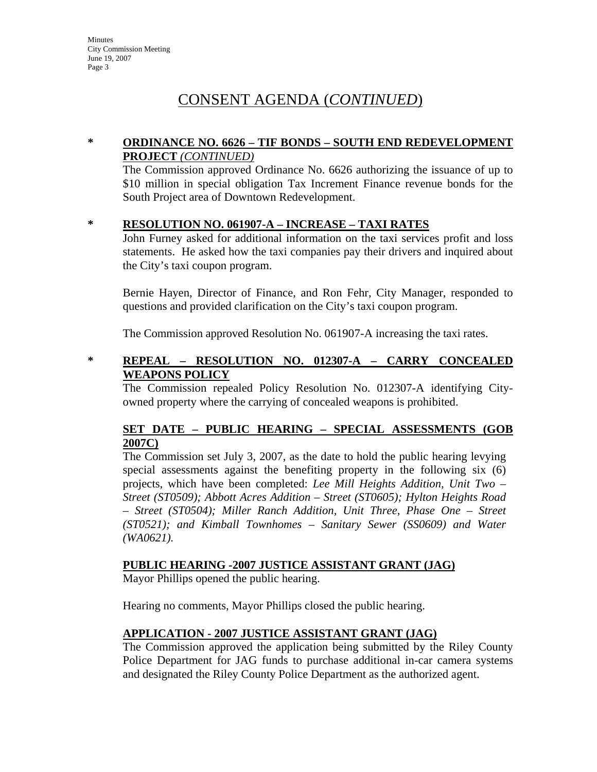# CONSENT AGENDA (*CONTINUED*)

# **\* ORDINANCE NO. 6626 – TIF BONDS – SOUTH END REDEVELOPMENT PROJECT** *(CONTINUED)*

The Commission approved Ordinance No. 6626 authorizing the issuance of up to \$10 million in special obligation Tax Increment Finance revenue bonds for the South Project area of Downtown Redevelopment.

### **\* RESOLUTION NO. 061907-A – INCREASE – TAXI RATES**

John Furney asked for additional information on the taxi services profit and loss statements. He asked how the taxi companies pay their drivers and inquired about the City's taxi coupon program.

Bernie Hayen, Director of Finance, and Ron Fehr, City Manager, responded to questions and provided clarification on the City's taxi coupon program.

The Commission approved Resolution No. 061907-A increasing the taxi rates.

# **\* REPEAL – RESOLUTION NO. 012307-A – CARRY CONCEALED WEAPONS POLICY**

The Commission repealed Policy Resolution No. 012307-A identifying Cityowned property where the carrying of concealed weapons is prohibited.

# **SET DATE – PUBLIC HEARING – SPECIAL ASSESSMENTS (GOB 2007C)**

The Commission set July 3, 2007, as the date to hold the public hearing levying special assessments against the benefiting property in the following six (6) projects, which have been completed: *Lee Mill Heights Addition, Unit Two – Street (ST0509); Abbott Acres Addition – Street (ST0605); Hylton Heights Road – Street (ST0504); Miller Ranch Addition, Unit Three, Phase One – Street (ST0521); and Kimball Townhomes – Sanitary Sewer (SS0609) and Water (WA0621).* 

# **PUBLIC HEARING -2007 JUSTICE ASSISTANT GRANT (JAG)**

Mayor Phillips opened the public hearing.

Hearing no comments, Mayor Phillips closed the public hearing.

#### **APPLICATION - 2007 JUSTICE ASSISTANT GRANT (JAG)**

The Commission approved the application being submitted by the Riley County Police Department for JAG funds to purchase additional in-car camera systems and designated the Riley County Police Department as the authorized agent.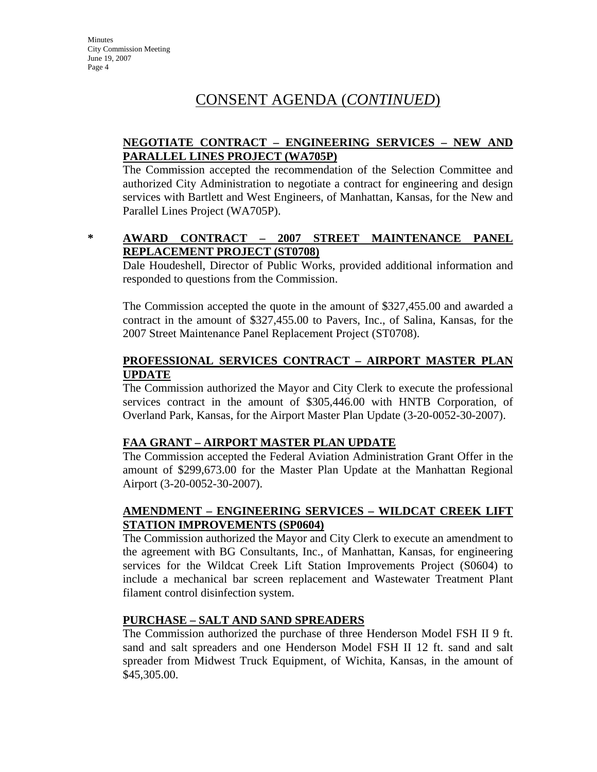# CONSENT AGENDA (*CONTINUED*)

# **NEGOTIATE CONTRACT – ENGINEERING SERVICES – NEW AND PARALLEL LINES PROJECT (WA705P)**

The Commission accepted the recommendation of the Selection Committee and authorized City Administration to negotiate a contract for engineering and design services with Bartlett and West Engineers, of Manhattan, Kansas, for the New and Parallel Lines Project (WA705P).

# **\* AWARD CONTRACT – 2007 STREET MAINTENANCE PANEL REPLACEMENT PROJECT (ST0708)**

Dale Houdeshell, Director of Public Works, provided additional information and responded to questions from the Commission.

The Commission accepted the quote in the amount of \$327,455.00 and awarded a contract in the amount of \$327,455.00 to Pavers, Inc., of Salina, Kansas, for the 2007 Street Maintenance Panel Replacement Project (ST0708).

# **PROFESSIONAL SERVICES CONTRACT – AIRPORT MASTER PLAN UPDATE**

The Commission authorized the Mayor and City Clerk to execute the professional services contract in the amount of \$305,446.00 with HNTB Corporation, of Overland Park, Kansas, for the Airport Master Plan Update (3-20-0052-30-2007).

# **FAA GRANT – AIRPORT MASTER PLAN UPDATE**

The Commission accepted the Federal Aviation Administration Grant Offer in the amount of \$299,673.00 for the Master Plan Update at the Manhattan Regional Airport (3-20-0052-30-2007).

# **AMENDMENT – ENGINEERING SERVICES – WILDCAT CREEK LIFT STATION IMPROVEMENTS (SP0604)**

The Commission authorized the Mayor and City Clerk to execute an amendment to the agreement with BG Consultants, Inc., of Manhattan, Kansas, for engineering services for the Wildcat Creek Lift Station Improvements Project (S0604) to include a mechanical bar screen replacement and Wastewater Treatment Plant filament control disinfection system.

# **PURCHASE – SALT AND SAND SPREADERS**

The Commission authorized the purchase of three Henderson Model FSH II 9 ft. sand and salt spreaders and one Henderson Model FSH II 12 ft. sand and salt spreader from Midwest Truck Equipment, of Wichita, Kansas, in the amount of \$45,305.00.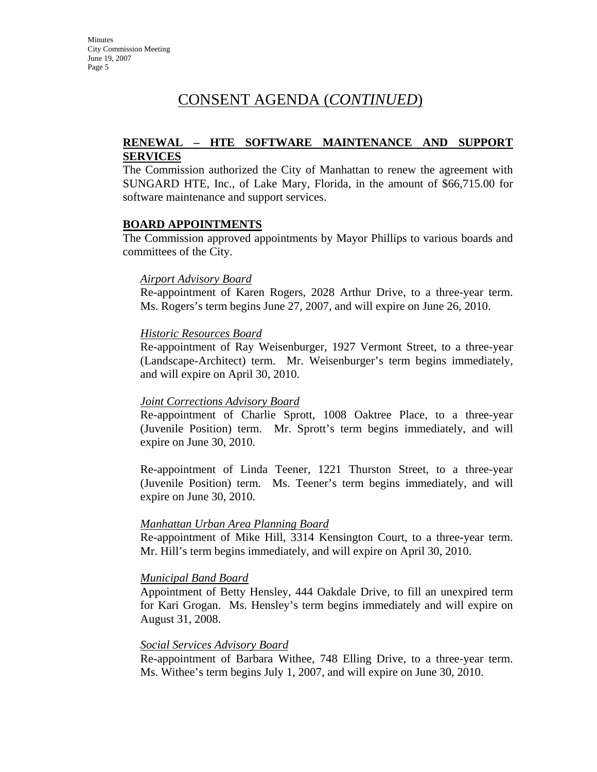# CONSENT AGENDA (*CONTINUED*)

# **RENEWAL – HTE SOFTWARE MAINTENANCE AND SUPPORT SERVICES**

The Commission authorized the City of Manhattan to renew the agreement with SUNGARD HTE, Inc., of Lake Mary, Florida, in the amount of \$66,715.00 for software maintenance and support services.

#### **BOARD APPOINTMENTS**

The Commission approved appointments by Mayor Phillips to various boards and committees of the City.

#### *Airport Advisory Board*

Re-appointment of Karen Rogers, 2028 Arthur Drive, to a three-year term. Ms. Rogers's term begins June 27, 2007, and will expire on June 26, 2010.

#### *Historic Resources Board*

Re-appointment of Ray Weisenburger, 1927 Vermont Street, to a three-year (Landscape-Architect) term. Mr. Weisenburger's term begins immediately, and will expire on April 30, 2010.

#### *Joint Corrections Advisory Board*

Re-appointment of Charlie Sprott, 1008 Oaktree Place, to a three-year (Juvenile Position) term. Mr. Sprott's term begins immediately, and will expire on June 30, 2010.

Re-appointment of Linda Teener, 1221 Thurston Street, to a three-year (Juvenile Position) term. Ms. Teener's term begins immediately, and will expire on June 30, 2010.

#### *Manhattan Urban Area Planning Board*

Re-appointment of Mike Hill, 3314 Kensington Court, to a three-year term. Mr. Hill's term begins immediately, and will expire on April 30, 2010.

#### *Municipal Band Board*

Appointment of Betty Hensley, 444 Oakdale Drive, to fill an unexpired term for Kari Grogan. Ms. Hensley's term begins immediately and will expire on August 31, 2008.

#### *Social Services Advisory Board*

Re-appointment of Barbara Withee, 748 Elling Drive, to a three-year term. Ms. Withee's term begins July 1, 2007, and will expire on June 30, 2010.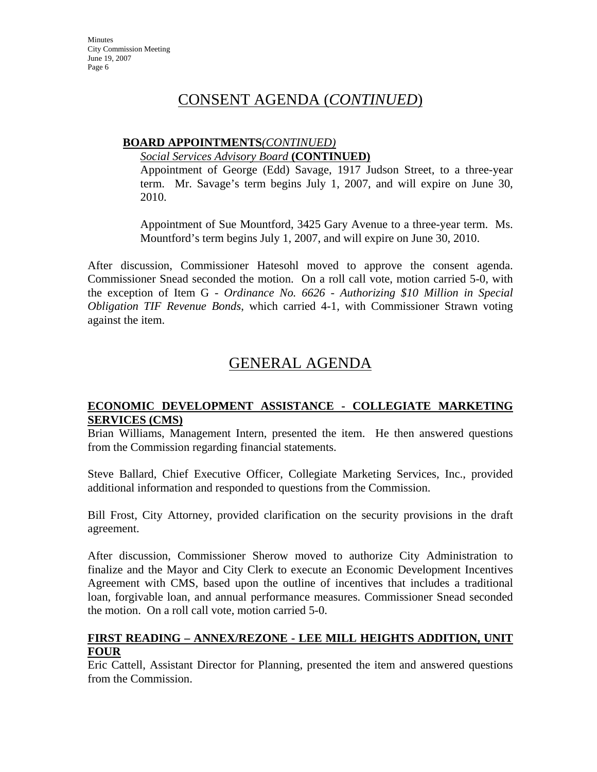# CONSENT AGENDA (*CONTINUED*)

# **BOARD APPOINTMENTS***(CONTINUED)*

*Social Services Advisory Board* **(CONTINUED)**

Appointment of George (Edd) Savage, 1917 Judson Street, to a three-year term. Mr. Savage's term begins July 1, 2007, and will expire on June 30, 2010.

Appointment of Sue Mountford, 3425 Gary Avenue to a three-year term. Ms. Mountford's term begins July 1, 2007, and will expire on June 30, 2010.

After discussion, Commissioner Hatesohl moved to approve the consent agenda. Commissioner Snead seconded the motion. On a roll call vote, motion carried 5-0, with the exception of Item G - *Ordinance No. 6626 - Authorizing \$10 Million in Special Obligation TIF Revenue Bonds*, which carried 4-1, with Commissioner Strawn voting against the item.

# GENERAL AGENDA

# **ECONOMIC DEVELOPMENT ASSISTANCE - COLLEGIATE MARKETING SERVICES (CMS)**

Brian Williams, Management Intern, presented the item. He then answered questions from the Commission regarding financial statements.

Steve Ballard, Chief Executive Officer, Collegiate Marketing Services, Inc., provided additional information and responded to questions from the Commission.

Bill Frost, City Attorney, provided clarification on the security provisions in the draft agreement.

After discussion, Commissioner Sherow moved to authorize City Administration to finalize and the Mayor and City Clerk to execute an Economic Development Incentives Agreement with CMS, based upon the outline of incentives that includes a traditional loan, forgivable loan, and annual performance measures. Commissioner Snead seconded the motion. On a roll call vote, motion carried 5-0.

# **FIRST READING – ANNEX/REZONE - LEE MILL HEIGHTS ADDITION, UNIT FOUR**

Eric Cattell, Assistant Director for Planning, presented the item and answered questions from the Commission.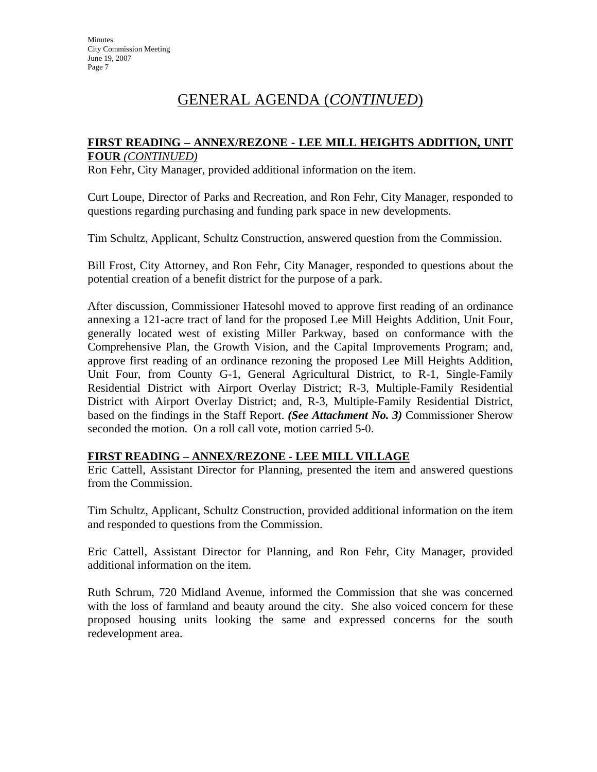# GENERAL AGENDA (*CONTINUED*)

### **FIRST READING – ANNEX/REZONE - LEE MILL HEIGHTS ADDITION, UNIT FOUR** *(CONTINUED)*

Ron Fehr, City Manager, provided additional information on the item.

Curt Loupe, Director of Parks and Recreation, and Ron Fehr, City Manager, responded to questions regarding purchasing and funding park space in new developments.

Tim Schultz, Applicant, Schultz Construction, answered question from the Commission.

Bill Frost, City Attorney, and Ron Fehr, City Manager, responded to questions about the potential creation of a benefit district for the purpose of a park.

After discussion, Commissioner Hatesohl moved to approve first reading of an ordinance annexing a 121-acre tract of land for the proposed Lee Mill Heights Addition, Unit Four, generally located west of existing Miller Parkway, based on conformance with the Comprehensive Plan, the Growth Vision, and the Capital Improvements Program; and, approve first reading of an ordinance rezoning the proposed Lee Mill Heights Addition, Unit Four, from County G-1, General Agricultural District, to R-1, Single-Family Residential District with Airport Overlay District; R-3, Multiple-Family Residential District with Airport Overlay District; and, R-3, Multiple-Family Residential District, based on the findings in the Staff Report. *(See Attachment No. 3)* Commissioner Sherow seconded the motion. On a roll call vote, motion carried 5-0.

#### **FIRST READING – ANNEX/REZONE - LEE MILL VILLAGE**

Eric Cattell, Assistant Director for Planning, presented the item and answered questions from the Commission.

Tim Schultz, Applicant, Schultz Construction, provided additional information on the item and responded to questions from the Commission.

Eric Cattell, Assistant Director for Planning, and Ron Fehr, City Manager, provided additional information on the item.

Ruth Schrum, 720 Midland Avenue, informed the Commission that she was concerned with the loss of farmland and beauty around the city. She also voiced concern for these proposed housing units looking the same and expressed concerns for the south redevelopment area.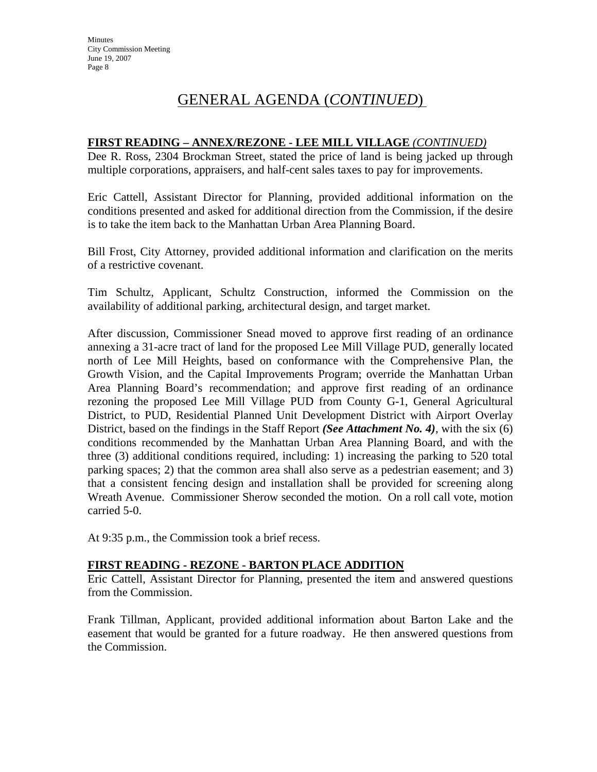# GENERAL AGENDA (*CONTINUED*)

# **FIRST READING – ANNEX/REZONE - LEE MILL VILLAGE** *(CONTINUED)*

Dee R. Ross, 2304 Brockman Street, stated the price of land is being jacked up through multiple corporations, appraisers, and half-cent sales taxes to pay for improvements.

Eric Cattell, Assistant Director for Planning, provided additional information on the conditions presented and asked for additional direction from the Commission, if the desire is to take the item back to the Manhattan Urban Area Planning Board.

Bill Frost, City Attorney, provided additional information and clarification on the merits of a restrictive covenant.

Tim Schultz, Applicant, Schultz Construction, informed the Commission on the availability of additional parking, architectural design, and target market.

After discussion, Commissioner Snead moved to approve first reading of an ordinance annexing a 31-acre tract of land for the proposed Lee Mill Village PUD, generally located north of Lee Mill Heights, based on conformance with the Comprehensive Plan, the Growth Vision, and the Capital Improvements Program; override the Manhattan Urban Area Planning Board's recommendation; and approve first reading of an ordinance rezoning the proposed Lee Mill Village PUD from County G-1, General Agricultural District, to PUD, Residential Planned Unit Development District with Airport Overlay District, based on the findings in the Staff Report *(See Attachment No. 4)*, with the six (6) conditions recommended by the Manhattan Urban Area Planning Board, and with the three (3) additional conditions required, including: 1) increasing the parking to 520 total parking spaces; 2) that the common area shall also serve as a pedestrian easement; and 3) that a consistent fencing design and installation shall be provided for screening along Wreath Avenue. Commissioner Sherow seconded the motion. On a roll call vote, motion carried 5-0.

At 9:35 p.m., the Commission took a brief recess.

# **FIRST READING - REZONE - BARTON PLACE ADDITION**

Eric Cattell, Assistant Director for Planning, presented the item and answered questions from the Commission.

Frank Tillman, Applicant, provided additional information about Barton Lake and the easement that would be granted for a future roadway. He then answered questions from the Commission.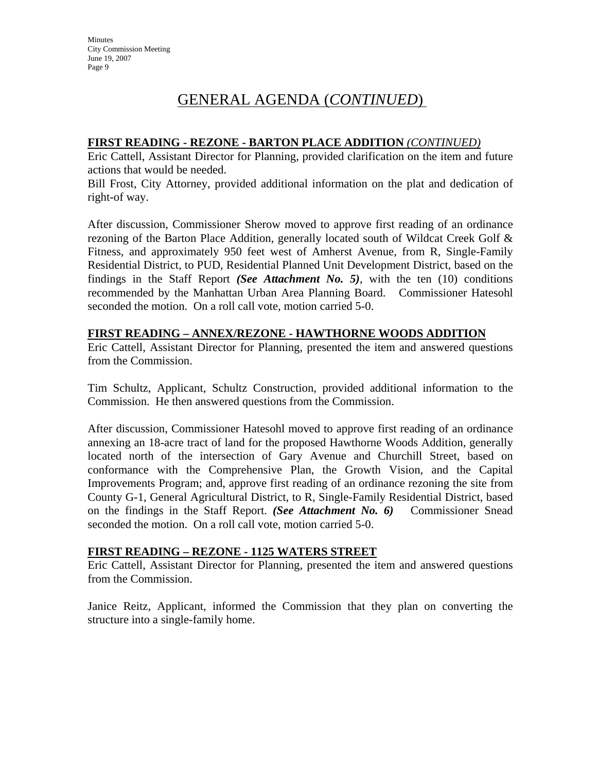# GENERAL AGENDA (*CONTINUED*)

# **FIRST READING - REZONE - BARTON PLACE ADDITION** *(CONTINUED)*

Eric Cattell, Assistant Director for Planning, provided clarification on the item and future actions that would be needed.

Bill Frost, City Attorney, provided additional information on the plat and dedication of right-of way.

After discussion, Commissioner Sherow moved to approve first reading of an ordinance rezoning of the Barton Place Addition, generally located south of Wildcat Creek Golf & Fitness, and approximately 950 feet west of Amherst Avenue, from R, Single-Family Residential District, to PUD, Residential Planned Unit Development District, based on the findings in the Staff Report *(See Attachment No. 5)*, with the ten (10) conditions recommended by the Manhattan Urban Area Planning Board. Commissioner Hatesohl seconded the motion. On a roll call vote, motion carried 5-0.

# **FIRST READING – ANNEX/REZONE - HAWTHORNE WOODS ADDITION**

Eric Cattell, Assistant Director for Planning, presented the item and answered questions from the Commission.

Tim Schultz, Applicant, Schultz Construction, provided additional information to the Commission. He then answered questions from the Commission.

After discussion, Commissioner Hatesohl moved to approve first reading of an ordinance annexing an 18-acre tract of land for the proposed Hawthorne Woods Addition, generally located north of the intersection of Gary Avenue and Churchill Street, based on conformance with the Comprehensive Plan, the Growth Vision, and the Capital Improvements Program; and, approve first reading of an ordinance rezoning the site from County G-1, General Agricultural District, to R, Single-Family Residential District, based on the findings in the Staff Report. *(See Attachment No. 6)* Commissioner Snead seconded the motion. On a roll call vote, motion carried 5-0.

# **FIRST READING – REZONE - 1125 WATERS STREET**

Eric Cattell, Assistant Director for Planning, presented the item and answered questions from the Commission.

Janice Reitz, Applicant, informed the Commission that they plan on converting the structure into a single-family home.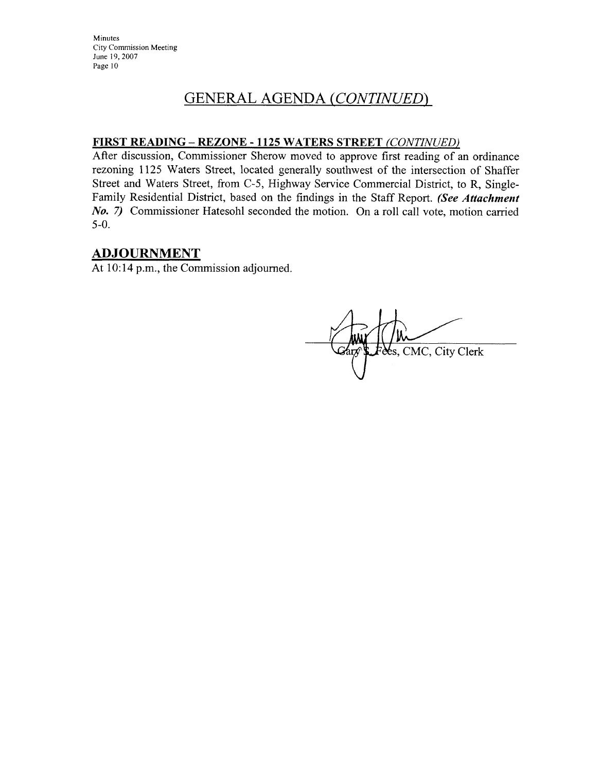# **GENERAL AGENDA (CONTINUED)**

# FIRST READING - REZONE - 1125 WATERS STREET (CONTINUED)

After discussion, Commissioner Sherow moved to approve first reading of an ordinance rezoning 1125 Waters Street, located generally southwest of the intersection of Shaffer Street and Waters Street, from C-5, Highway Service Commercial District, to R, Single-Family Residential District, based on the findings in the Staff Report. (See Attachment No. 7) Commissioner Hatesohl seconded the motion. On a roll call vote, motion carried  $5-0.$ 

# **ADJOURNMENT**

At 10:14 p.m., the Commission adjourned.

Res, CMC, City Clerk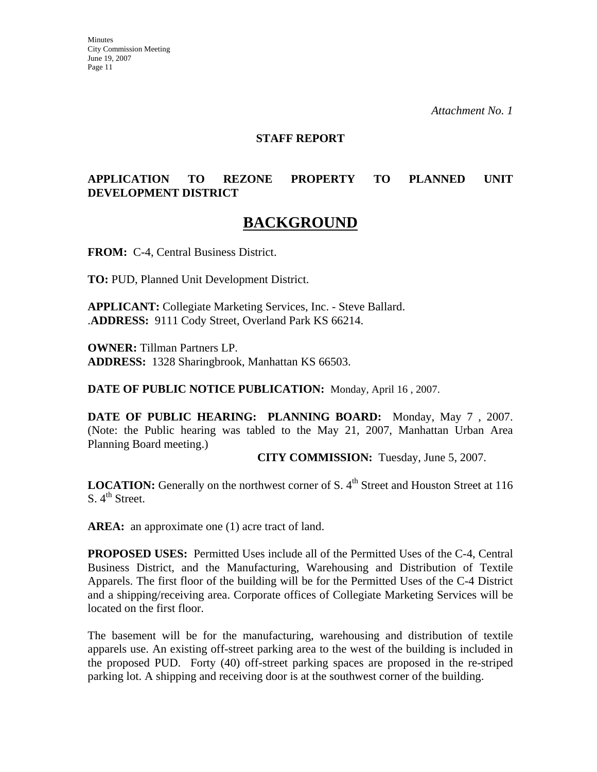*Attachment No. 1*

#### **STAFF REPORT**

# **APPLICATION TO REZONE PROPERTY TO PLANNED UNIT DEVELOPMENT DISTRICT**

# **BACKGROUND**

**FROM:** C-4, Central Business District.

**TO:** PUD, Planned Unit Development District.

**APPLICANT:** Collegiate Marketing Services, Inc. - Steve Ballard. .**ADDRESS:** 9111 Cody Street, Overland Park KS 66214.

**OWNER:** Tillman Partners LP. **ADDRESS:** 1328 Sharingbrook, Manhattan KS 66503.

**DATE OF PUBLIC NOTICE PUBLICATION:** Monday, April 16 , 2007.

**DATE OF PUBLIC HEARING: PLANNING BOARD:** Monday, May 7 , 2007. (Note: the Public hearing was tabled to the May 21, 2007, Manhattan Urban Area Planning Board meeting.)

**CITY COMMISSION:** Tuesday, June 5, 2007.

**LOCATION:** Generally on the northwest corner of S. 4<sup>th</sup> Street and Houston Street at 116  $S. 4<sup>th</sup> Street.$ 

AREA: an approximate one (1) acre tract of land.

**PROPOSED USES:** Permitted Uses include all of the Permitted Uses of the C-4, Central Business District, and the Manufacturing, Warehousing and Distribution of Textile Apparels. The first floor of the building will be for the Permitted Uses of the C-4 District and a shipping/receiving area. Corporate offices of Collegiate Marketing Services will be located on the first floor.

The basement will be for the manufacturing, warehousing and distribution of textile apparels use. An existing off-street parking area to the west of the building is included in the proposed PUD. Forty (40) off-street parking spaces are proposed in the re-striped parking lot. A shipping and receiving door is at the southwest corner of the building.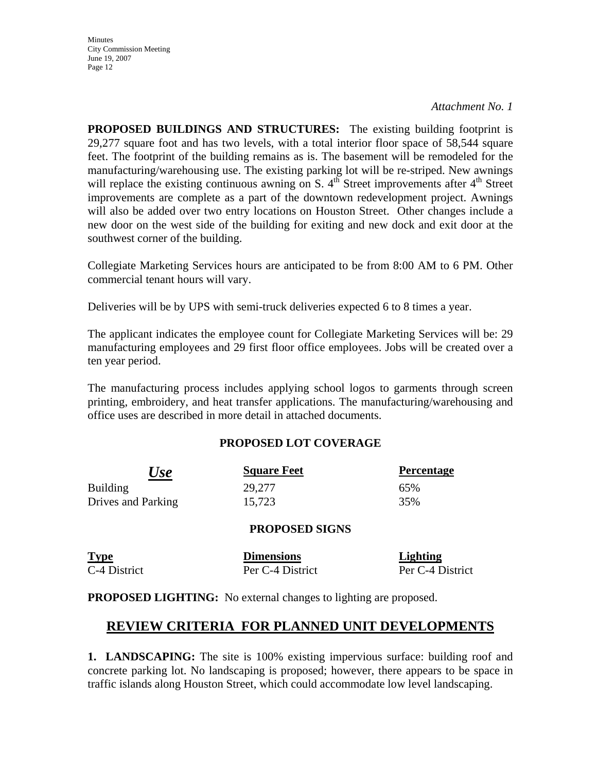#### *Attachment No. 1*

**PROPOSED BUILDINGS AND STRUCTURES:** The existing building footprint is 29,277 square foot and has two levels, with a total interior floor space of 58,544 square feet. The footprint of the building remains as is. The basement will be remodeled for the manufacturing/warehousing use. The existing parking lot will be re-striped. New awnings will replace the existing continuous awning on S.  $4<sup>th</sup>$  Street improvements after  $4<sup>th</sup>$  Street improvements are complete as a part of the downtown redevelopment project. Awnings will also be added over two entry locations on Houston Street. Other changes include a new door on the west side of the building for exiting and new dock and exit door at the southwest corner of the building.

Collegiate Marketing Services hours are anticipated to be from 8:00 AM to 6 PM. Other commercial tenant hours will vary.

Deliveries will be by UPS with semi-truck deliveries expected 6 to 8 times a year.

The applicant indicates the employee count for Collegiate Marketing Services will be: 29 manufacturing employees and 29 first floor office employees. Jobs will be created over a ten year period.

The manufacturing process includes applying school logos to garments through screen printing, embroidery, and heat transfer applications. The manufacturing/warehousing and office uses are described in more detail in attached documents.

# **PROPOSED LOT COVERAGE**

| <b>Use</b>         | <b>Square Feet</b> | <b>Percentage</b> |
|--------------------|--------------------|-------------------|
| <b>Building</b>    | 29,277             | 65%               |
| Drives and Parking | 15,723             | 35%               |

#### **PROPOSED SIGNS**

| <b>Type</b>  | <b>Dimensions</b> | Lighting         |
|--------------|-------------------|------------------|
| C-4 District | Per C-4 District  | Per C-4 District |

**PROPOSED LIGHTING:** No external changes to lighting are proposed.

# **REVIEW CRITERIA FOR PLANNED UNIT DEVELOPMENTS**

**1. LANDSCAPING:** The site is 100% existing impervious surface: building roof and concrete parking lot. No landscaping is proposed; however, there appears to be space in traffic islands along Houston Street, which could accommodate low level landscaping.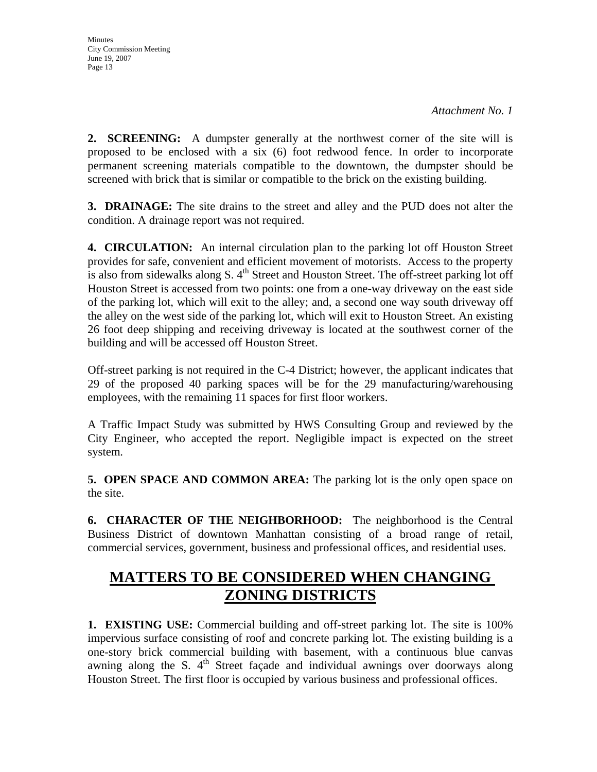**2. SCREENING:** A dumpster generally at the northwest corner of the site will is proposed to be enclosed with a six (6) foot redwood fence. In order to incorporate permanent screening materials compatible to the downtown, the dumpster should be screened with brick that is similar or compatible to the brick on the existing building.

**3. DRAINAGE:** The site drains to the street and alley and the PUD does not alter the condition. A drainage report was not required.

**4. CIRCULATION:** An internal circulation plan to the parking lot off Houston Street provides for safe, convenient and efficient movement of motorists. Access to the property is also from sidewalks along S.  $4<sup>th</sup>$  Street and Houston Street. The off-street parking lot off Houston Street is accessed from two points: one from a one-way driveway on the east side of the parking lot, which will exit to the alley; and, a second one way south driveway off the alley on the west side of the parking lot, which will exit to Houston Street. An existing 26 foot deep shipping and receiving driveway is located at the southwest corner of the building and will be accessed off Houston Street.

Off-street parking is not required in the C-4 District; however, the applicant indicates that 29 of the proposed 40 parking spaces will be for the 29 manufacturing/warehousing employees, with the remaining 11 spaces for first floor workers.

A Traffic Impact Study was submitted by HWS Consulting Group and reviewed by the City Engineer, who accepted the report. Negligible impact is expected on the street system.

**5. OPEN SPACE AND COMMON AREA:** The parking lot is the only open space on the site.

**6. CHARACTER OF THE NEIGHBORHOOD:** The neighborhood is the Central Business District of downtown Manhattan consisting of a broad range of retail, commercial services, government, business and professional offices, and residential uses.

# **MATTERS TO BE CONSIDERED WHEN CHANGING ZONING DISTRICTS**

**1. EXISTING USE:** Commercial building and off-street parking lot. The site is 100% impervious surface consisting of roof and concrete parking lot. The existing building is a one-story brick commercial building with basement, with a continuous blue canvas awning along the S.  $4<sup>th</sup>$  Street facade and individual awnings over doorways along Houston Street. The first floor is occupied by various business and professional offices.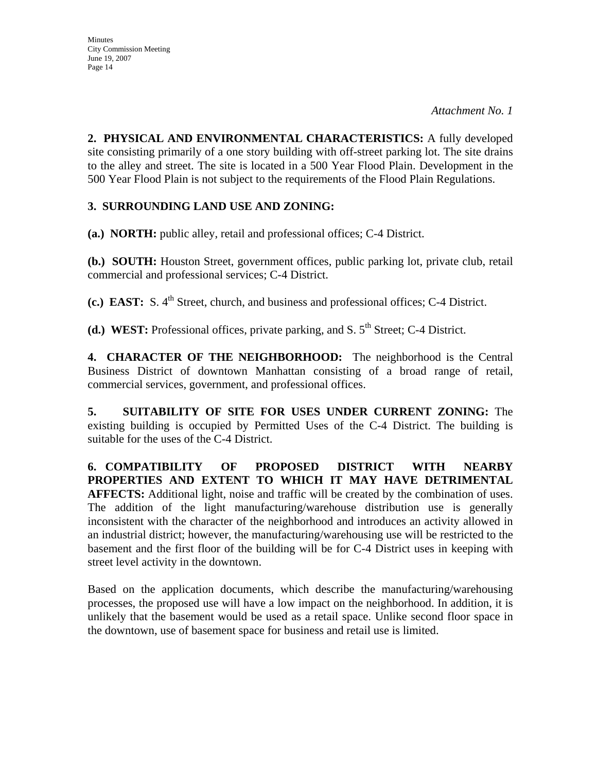**2. PHYSICAL AND ENVIRONMENTAL CHARACTERISTICS:** A fully developed site consisting primarily of a one story building with off-street parking lot. The site drains to the alley and street. The site is located in a 500 Year Flood Plain. Development in the 500 Year Flood Plain is not subject to the requirements of the Flood Plain Regulations.

# **3. SURROUNDING LAND USE AND ZONING:**

**(a.) NORTH:** public alley, retail and professional offices; C-4 District.

**(b.) SOUTH:** Houston Street, government offices, public parking lot, private club, retail commercial and professional services; C-4 District.

**(c.) EAST:** S. 4<sup>th</sup> Street, church, and business and professional offices; C-4 District.

**(d.) WEST:** Professional offices, private parking, and S.  $5<sup>th</sup>$  Street; C-4 District.

**4. CHARACTER OF THE NEIGHBORHOOD:** The neighborhood is the Central Business District of downtown Manhattan consisting of a broad range of retail, commercial services, government, and professional offices.

**5. SUITABILITY OF SITE FOR USES UNDER CURRENT ZONING:** The existing building is occupied by Permitted Uses of the C-4 District. The building is suitable for the uses of the C-4 District.

**6. COMPATIBILITY OF PROPOSED DISTRICT WITH NEARBY PROPERTIES AND EXTENT TO WHICH IT MAY HAVE DETRIMENTAL AFFECTS:** Additional light, noise and traffic will be created by the combination of uses. The addition of the light manufacturing/warehouse distribution use is generally inconsistent with the character of the neighborhood and introduces an activity allowed in an industrial district; however, the manufacturing/warehousing use will be restricted to the basement and the first floor of the building will be for C-4 District uses in keeping with street level activity in the downtown.

Based on the application documents, which describe the manufacturing/warehousing processes, the proposed use will have a low impact on the neighborhood. In addition, it is unlikely that the basement would be used as a retail space. Unlike second floor space in the downtown, use of basement space for business and retail use is limited.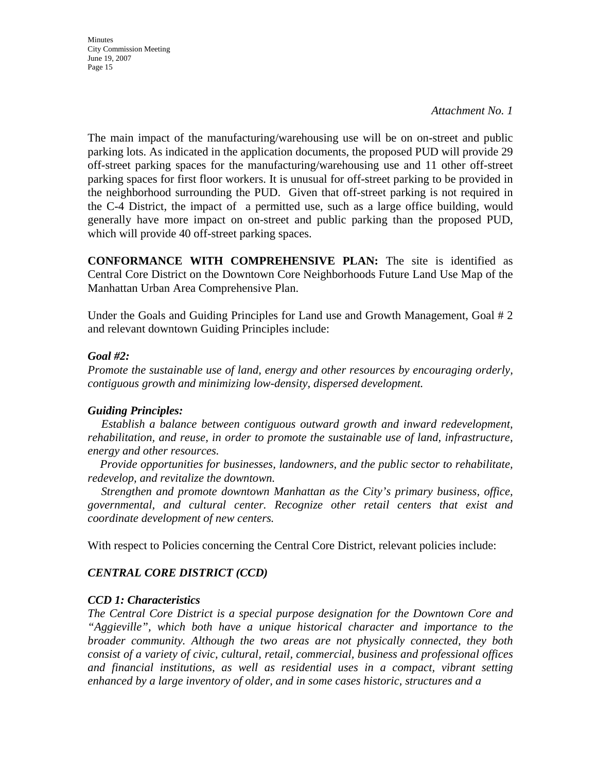*Attachment No. 1* 

The main impact of the manufacturing/warehousing use will be on on-street and public parking lots. As indicated in the application documents, the proposed PUD will provide 29 off-street parking spaces for the manufacturing/warehousing use and 11 other off-street parking spaces for first floor workers. It is unusual for off-street parking to be provided in the neighborhood surrounding the PUD. Given that off-street parking is not required in the C-4 District, the impact of a permitted use, such as a large office building, would generally have more impact on on-street and public parking than the proposed PUD, which will provide 40 off-street parking spaces.

**CONFORMANCE WITH COMPREHENSIVE PLAN:** The site is identified as Central Core District on the Downtown Core Neighborhoods Future Land Use Map of the Manhattan Urban Area Comprehensive Plan.

Under the Goals and Guiding Principles for Land use and Growth Management, Goal # 2 and relevant downtown Guiding Principles include:

### *Goal #2:*

*Promote the sustainable use of land, energy and other resources by encouraging orderly, contiguous growth and minimizing low-density, dispersed development.* 

# *Guiding Principles:*

 *Establish a balance between contiguous outward growth and inward redevelopment, rehabilitation, and reuse, in order to promote the sustainable use of land, infrastructure, energy and other resources.* 

 *Provide opportunities for businesses, landowners, and the public sector to rehabilitate, redevelop, and revitalize the downtown.* 

 *Strengthen and promote downtown Manhattan as the City's primary business, office, governmental, and cultural center. Recognize other retail centers that exist and coordinate development of new centers.* 

With respect to Policies concerning the Central Core District, relevant policies include:

# *CENTRAL CORE DISTRICT (CCD)*

# *CCD 1: Characteristics*

*The Central Core District is a special purpose designation for the Downtown Core and "Aggieville", which both have a unique historical character and importance to the broader community. Although the two areas are not physically connected, they both consist of a variety of civic, cultural, retail, commercial, business and professional offices and financial institutions, as well as residential uses in a compact, vibrant setting enhanced by a large inventory of older, and in some cases historic, structures and a*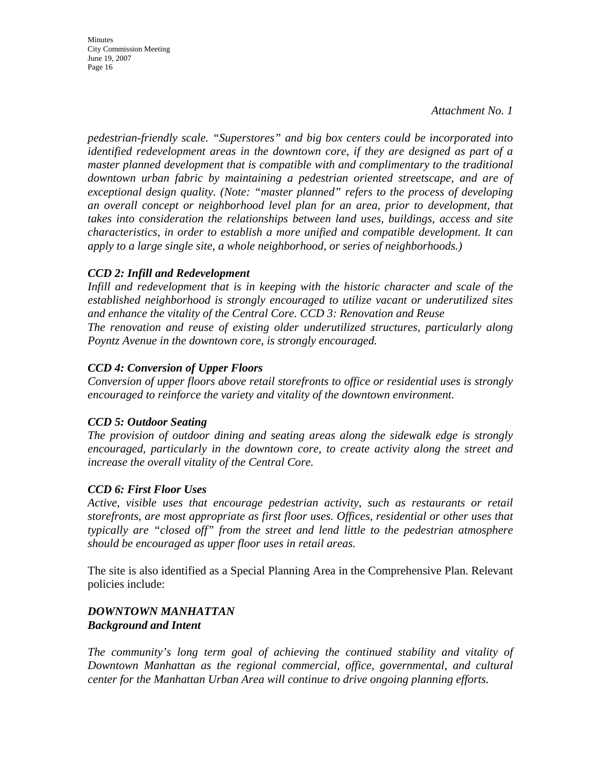*Attachment No. 1*

*pedestrian-friendly scale. "Superstores" and big box centers could be incorporated into identified redevelopment areas in the downtown core, if they are designed as part of a master planned development that is compatible with and complimentary to the traditional downtown urban fabric by maintaining a pedestrian oriented streetscape, and are of exceptional design quality. (Note: "master planned" refers to the process of developing an overall concept or neighborhood level plan for an area, prior to development, that takes into consideration the relationships between land uses, buildings, access and site characteristics, in order to establish a more unified and compatible development. It can apply to a large single site, a whole neighborhood, or series of neighborhoods.)* 

# *CCD 2: Infill and Redevelopment*

*Infill and redevelopment that is in keeping with the historic character and scale of the established neighborhood is strongly encouraged to utilize vacant or underutilized sites and enhance the vitality of the Central Core. CCD 3: Renovation and Reuse The renovation and reuse of existing older underutilized structures, particularly along Poyntz Avenue in the downtown core, is strongly encouraged.* 

# *CCD 4: Conversion of Upper Floors*

*Conversion of upper floors above retail storefronts to office or residential uses is strongly encouraged to reinforce the variety and vitality of the downtown environment.* 

# *CCD 5: Outdoor Seating*

*The provision of outdoor dining and seating areas along the sidewalk edge is strongly encouraged, particularly in the downtown core, to create activity along the street and increase the overall vitality of the Central Core.* 

# *CCD 6: First Floor Uses*

*Active, visible uses that encourage pedestrian activity, such as restaurants or retail storefronts, are most appropriate as first floor uses. Offices, residential or other uses that typically are "closed off" from the street and lend little to the pedestrian atmosphere should be encouraged as upper floor uses in retail areas.* 

The site is also identified as a Special Planning Area in the Comprehensive Plan. Relevant policies include:

# *DOWNTOWN MANHATTAN Background and Intent*

*The community's long term goal of achieving the continued stability and vitality of Downtown Manhattan as the regional commercial, office, governmental, and cultural center for the Manhattan Urban Area will continue to drive ongoing planning efforts.*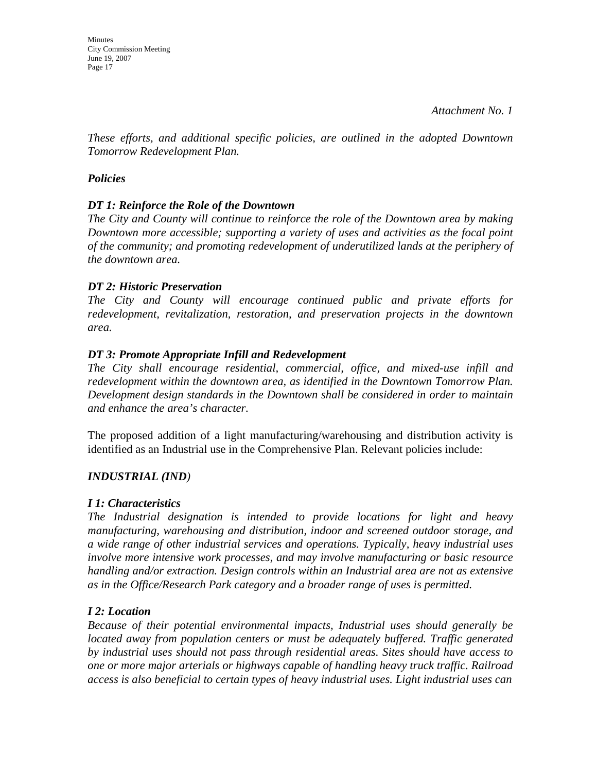*Attachment No. 1*

*These efforts, and additional specific policies, are outlined in the adopted Downtown Tomorrow Redevelopment Plan.* 

### *Policies*

### *DT 1: Reinforce the Role of the Downtown*

*The City and County will continue to reinforce the role of the Downtown area by making Downtown more accessible; supporting a variety of uses and activities as the focal point of the community; and promoting redevelopment of underutilized lands at the periphery of the downtown area.* 

#### *DT 2: Historic Preservation*

*The City and County will encourage continued public and private efforts for redevelopment, revitalization, restoration, and preservation projects in the downtown area.* 

#### *DT 3: Promote Appropriate Infill and Redevelopment*

*The City shall encourage residential, commercial, office, and mixed-use infill and redevelopment within the downtown area, as identified in the Downtown Tomorrow Plan. Development design standards in the Downtown shall be considered in order to maintain and enhance the area's character.* 

The proposed addition of a light manufacturing/warehousing and distribution activity is identified as an Industrial use in the Comprehensive Plan. Relevant policies include:

# *INDUSTRIAL (IND)*

#### *I 1: Characteristics*

*The Industrial designation is intended to provide locations for light and heavy manufacturing, warehousing and distribution, indoor and screened outdoor storage, and a wide range of other industrial services and operations. Typically, heavy industrial uses involve more intensive work processes, and may involve manufacturing or basic resource handling and/or extraction. Design controls within an Industrial area are not as extensive as in the Office/Research Park category and a broader range of uses is permitted.* 

# *I 2: Location*

*Because of their potential environmental impacts, Industrial uses should generally be located away from population centers or must be adequately buffered. Traffic generated by industrial uses should not pass through residential areas. Sites should have access to one or more major arterials or highways capable of handling heavy truck traffic. Railroad access is also beneficial to certain types of heavy industrial uses. Light industrial uses can*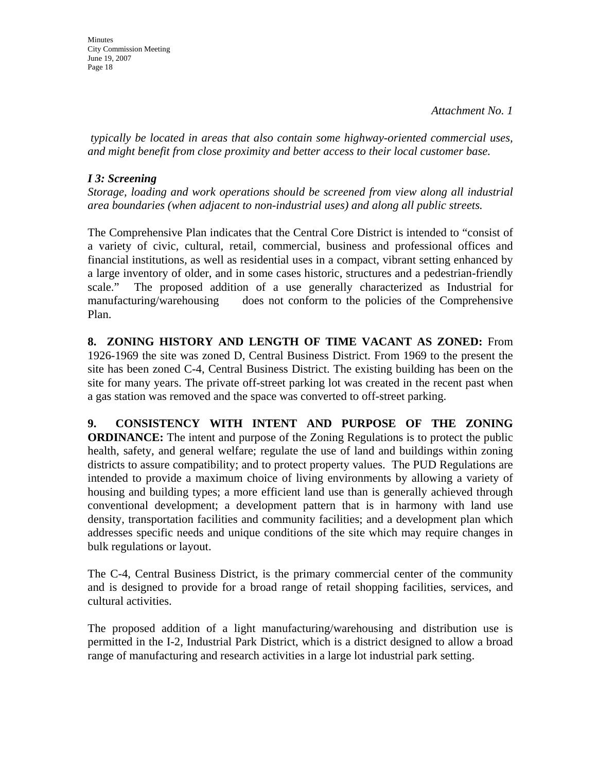**Minutes** City Commission Meeting June 19, 2007 Page 18

 *typically be located in areas that also contain some highway-oriented commercial uses, and might benefit from close proximity and better access to their local customer base.* 

### *I 3: Screening*

*Storage, loading and work operations should be screened from view along all industrial area boundaries (when adjacent to non-industrial uses) and along all public streets.* 

The Comprehensive Plan indicates that the Central Core District is intended to "consist of a variety of civic, cultural, retail, commercial, business and professional offices and financial institutions, as well as residential uses in a compact, vibrant setting enhanced by a large inventory of older, and in some cases historic, structures and a pedestrian-friendly scale." The proposed addition of a use generally characterized as Industrial for manufacturing/warehousing does not conform to the policies of the Comprehensive Plan.

**8. ZONING HISTORY AND LENGTH OF TIME VACANT AS ZONED:** From 1926-1969 the site was zoned D, Central Business District. From 1969 to the present the site has been zoned C-4, Central Business District. The existing building has been on the site for many years. The private off-street parking lot was created in the recent past when a gas station was removed and the space was converted to off-street parking.

**9. CONSISTENCY WITH INTENT AND PURPOSE OF THE ZONING ORDINANCE:** The intent and purpose of the Zoning Regulations is to protect the public health, safety, and general welfare; regulate the use of land and buildings within zoning districts to assure compatibility; and to protect property values. The PUD Regulations are intended to provide a maximum choice of living environments by allowing a variety of housing and building types; a more efficient land use than is generally achieved through conventional development; a development pattern that is in harmony with land use density, transportation facilities and community facilities; and a development plan which addresses specific needs and unique conditions of the site which may require changes in bulk regulations or layout.

The C-4, Central Business District, is the primary commercial center of the community and is designed to provide for a broad range of retail shopping facilities, services, and cultural activities.

The proposed addition of a light manufacturing/warehousing and distribution use is permitted in the I-2, Industrial Park District, which is a district designed to allow a broad range of manufacturing and research activities in a large lot industrial park setting.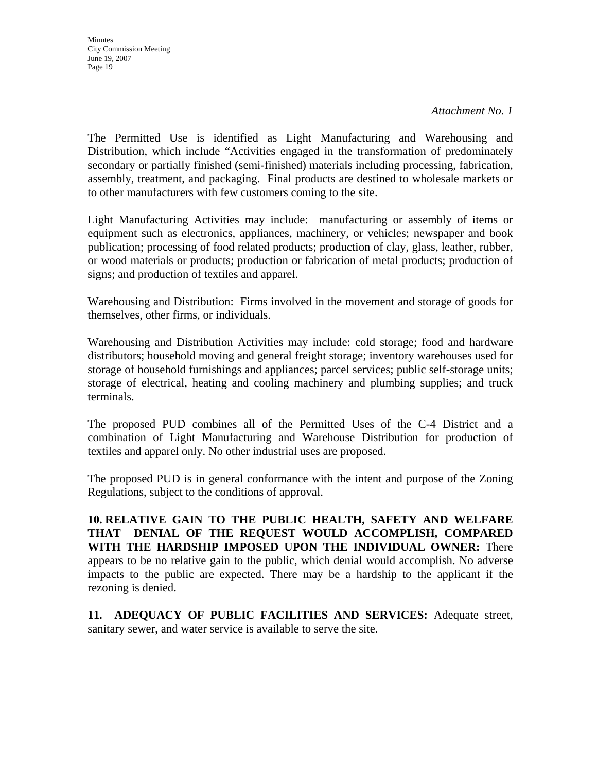*Attachment No. 1*

The Permitted Use is identified as Light Manufacturing and Warehousing and Distribution, which include "Activities engaged in the transformation of predominately secondary or partially finished (semi-finished) materials including processing, fabrication, assembly, treatment, and packaging. Final products are destined to wholesale markets or to other manufacturers with few customers coming to the site.

Light Manufacturing Activities may include: manufacturing or assembly of items or equipment such as electronics, appliances, machinery, or vehicles; newspaper and book publication; processing of food related products; production of clay, glass, leather, rubber, or wood materials or products; production or fabrication of metal products; production of signs; and production of textiles and apparel.

Warehousing and Distribution: Firms involved in the movement and storage of goods for themselves, other firms, or individuals.

Warehousing and Distribution Activities may include: cold storage; food and hardware distributors; household moving and general freight storage; inventory warehouses used for storage of household furnishings and appliances; parcel services; public self-storage units; storage of electrical, heating and cooling machinery and plumbing supplies; and truck terminals.

The proposed PUD combines all of the Permitted Uses of the C-4 District and a combination of Light Manufacturing and Warehouse Distribution for production of textiles and apparel only. No other industrial uses are proposed.

The proposed PUD is in general conformance with the intent and purpose of the Zoning Regulations, subject to the conditions of approval.

**10. RELATIVE GAIN TO THE PUBLIC HEALTH, SAFETY AND WELFARE THAT DENIAL OF THE REQUEST WOULD ACCOMPLISH, COMPARED WITH THE HARDSHIP IMPOSED UPON THE INDIVIDUAL OWNER:** There appears to be no relative gain to the public, which denial would accomplish. No adverse impacts to the public are expected. There may be a hardship to the applicant if the rezoning is denied.

**11. ADEQUACY OF PUBLIC FACILITIES AND SERVICES:** Adequate street, sanitary sewer, and water service is available to serve the site.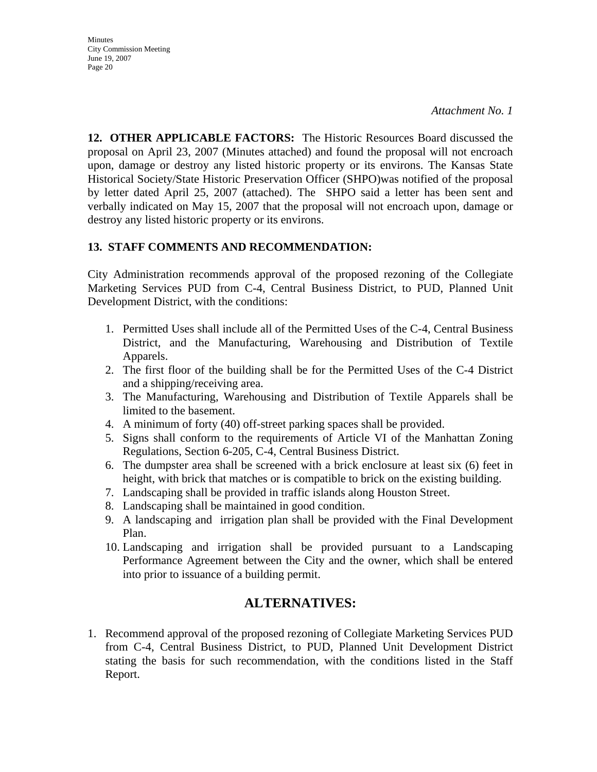**Minutes** City Commission Meeting June 19, 2007 Page 20

**12. OTHER APPLICABLE FACTORS:** The Historic Resources Board discussed the proposal on April 23, 2007 (Minutes attached) and found the proposal will not encroach upon, damage or destroy any listed historic property or its environs. The Kansas State Historical Society/State Historic Preservation Officer (SHPO)was notified of the proposal by letter dated April 25, 2007 (attached). The SHPO said a letter has been sent and verbally indicated on May 15, 2007 that the proposal will not encroach upon, damage or destroy any listed historic property or its environs.

# **13. STAFF COMMENTS AND RECOMMENDATION:**

City Administration recommends approval of the proposed rezoning of the Collegiate Marketing Services PUD from C-4, Central Business District, to PUD, Planned Unit Development District, with the conditions:

- 1. Permitted Uses shall include all of the Permitted Uses of the C-4, Central Business District, and the Manufacturing, Warehousing and Distribution of Textile Apparels.
- 2. The first floor of the building shall be for the Permitted Uses of the C-4 District and a shipping/receiving area.
- 3. The Manufacturing, Warehousing and Distribution of Textile Apparels shall be limited to the basement.
- 4. A minimum of forty (40) off-street parking spaces shall be provided.
- 5. Signs shall conform to the requirements of Article VI of the Manhattan Zoning Regulations, Section 6-205, C-4, Central Business District.
- 6. The dumpster area shall be screened with a brick enclosure at least six (6) feet in height, with brick that matches or is compatible to brick on the existing building.
- 7. Landscaping shall be provided in traffic islands along Houston Street.
- 8. Landscaping shall be maintained in good condition.
- 9. A landscaping and irrigation plan shall be provided with the Final Development Plan.
- 10. Landscaping and irrigation shall be provided pursuant to a Landscaping Performance Agreement between the City and the owner, which shall be entered into prior to issuance of a building permit.

# **ALTERNATIVES:**

1. Recommend approval of the proposed rezoning of Collegiate Marketing Services PUD from C-4, Central Business District, to PUD, Planned Unit Development District stating the basis for such recommendation, with the conditions listed in the Staff Report.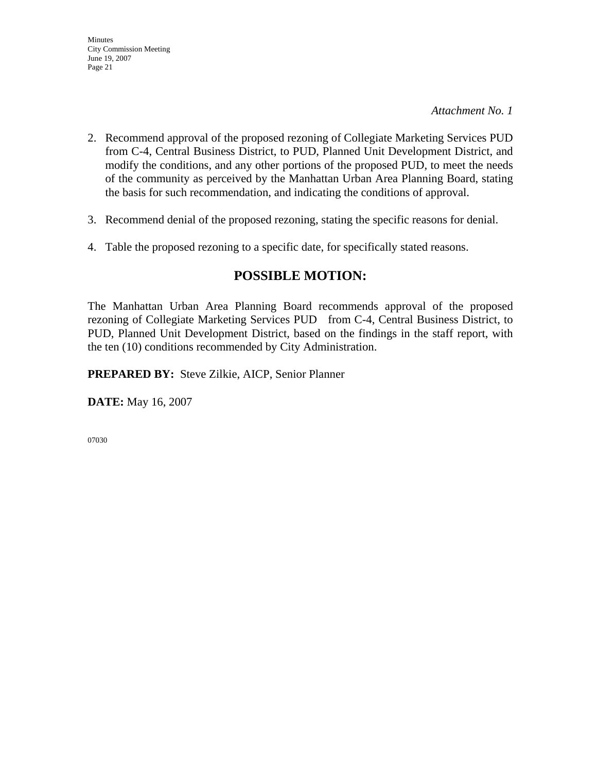*Attachment No. 1*

- 2. Recommend approval of the proposed rezoning of Collegiate Marketing Services PUD from C-4, Central Business District, to PUD, Planned Unit Development District, and modify the conditions, and any other portions of the proposed PUD, to meet the needs of the community as perceived by the Manhattan Urban Area Planning Board, stating the basis for such recommendation, and indicating the conditions of approval.
- 3. Recommend denial of the proposed rezoning, stating the specific reasons for denial.
- 4. Table the proposed rezoning to a specific date, for specifically stated reasons.

# **POSSIBLE MOTION:**

The Manhattan Urban Area Planning Board recommends approval of the proposed rezoning of Collegiate Marketing Services PUD from C-4, Central Business District, to PUD, Planned Unit Development District, based on the findings in the staff report, with the ten (10) conditions recommended by City Administration.

**PREPARED BY:** Steve Zilkie, AICP, Senior Planner

**DATE:** May 16, 2007

07030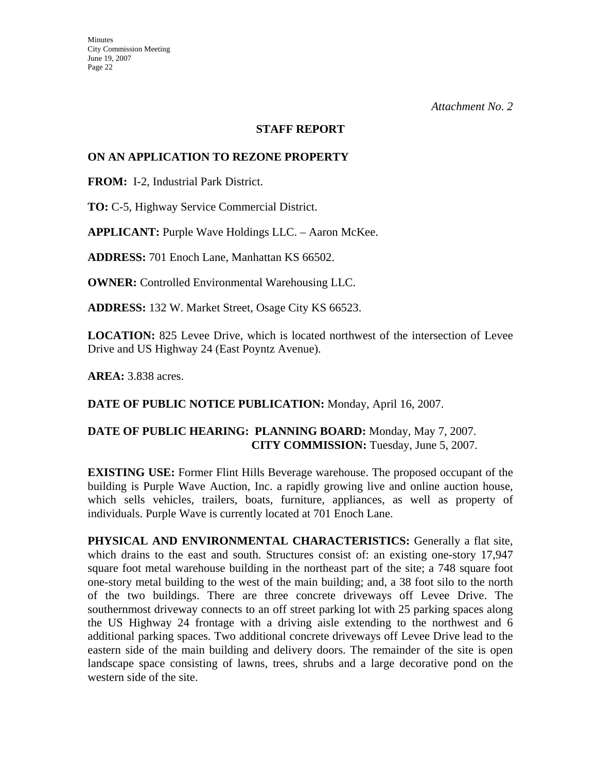#### **STAFF REPORT**

#### **ON AN APPLICATION TO REZONE PROPERTY**

**FROM:** I-2, Industrial Park District.

**TO:** C-5, Highway Service Commercial District.

**APPLICANT:** Purple Wave Holdings LLC. – Aaron McKee.

**ADDRESS:** 701 Enoch Lane, Manhattan KS 66502.

**OWNER:** Controlled Environmental Warehousing LLC.

**ADDRESS:** 132 W. Market Street, Osage City KS 66523.

**LOCATION:** 825 Levee Drive, which is located northwest of the intersection of Levee Drive and US Highway 24 (East Poyntz Avenue).

**AREA:** 3.838 acres.

**DATE OF PUBLIC NOTICE PUBLICATION:** Monday, April 16, 2007.

# **DATE OF PUBLIC HEARING: PLANNING BOARD:** Monday, May 7, 2007. **CITY COMMISSION:** Tuesday, June 5, 2007.

**EXISTING USE:** Former Flint Hills Beverage warehouse. The proposed occupant of the building is Purple Wave Auction, Inc. a rapidly growing live and online auction house, which sells vehicles, trailers, boats, furniture, appliances, as well as property of individuals. Purple Wave is currently located at 701 Enoch Lane.

**PHYSICAL AND ENVIRONMENTAL CHARACTERISTICS:** Generally a flat site, which drains to the east and south. Structures consist of: an existing one-story 17,947 square foot metal warehouse building in the northeast part of the site; a 748 square foot one-story metal building to the west of the main building; and, a 38 foot silo to the north of the two buildings. There are three concrete driveways off Levee Drive. The southernmost driveway connects to an off street parking lot with 25 parking spaces along the US Highway 24 frontage with a driving aisle extending to the northwest and 6 additional parking spaces. Two additional concrete driveways off Levee Drive lead to the eastern side of the main building and delivery doors. The remainder of the site is open landscape space consisting of lawns, trees, shrubs and a large decorative pond on the western side of the site.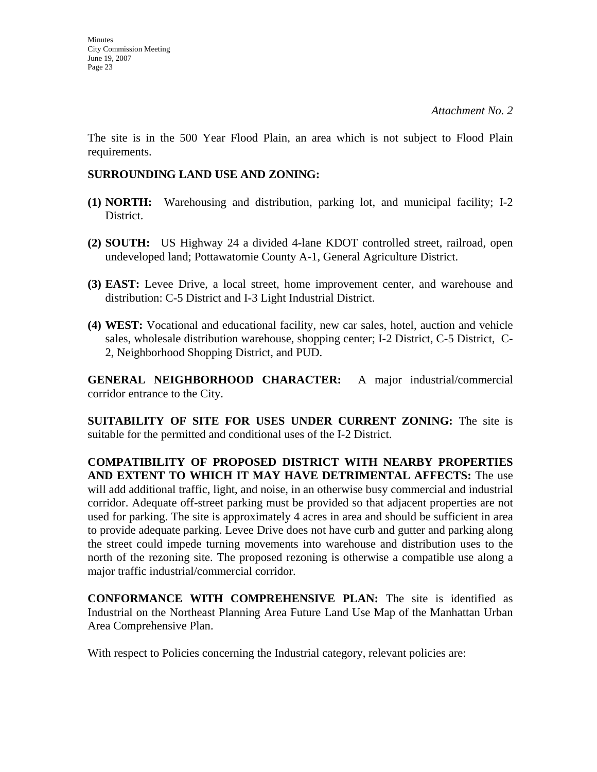The site is in the 500 Year Flood Plain, an area which is not subject to Flood Plain requirements.

# **SURROUNDING LAND USE AND ZONING:**

- **(1) NORTH:** Warehousing and distribution, parking lot, and municipal facility; I-2 District.
- **(2) SOUTH:** US Highway 24 a divided 4-lane KDOT controlled street, railroad, open undeveloped land; Pottawatomie County A-1, General Agriculture District.
- **(3) EAST:** Levee Drive, a local street, home improvement center, and warehouse and distribution: C-5 District and I-3 Light Industrial District.
- **(4) WEST:** Vocational and educational facility, new car sales, hotel, auction and vehicle sales, wholesale distribution warehouse, shopping center; I-2 District, C-5 District, C-2, Neighborhood Shopping District, and PUD.

**GENERAL NEIGHBORHOOD CHARACTER:** A major industrial/commercial corridor entrance to the City.

**SUITABILITY OF SITE FOR USES UNDER CURRENT ZONING:** The site is suitable for the permitted and conditional uses of the I-2 District.

**COMPATIBILITY OF PROPOSED DISTRICT WITH NEARBY PROPERTIES AND EXTENT TO WHICH IT MAY HAVE DETRIMENTAL AFFECTS:** The use will add additional traffic, light, and noise, in an otherwise busy commercial and industrial corridor. Adequate off-street parking must be provided so that adjacent properties are not used for parking. The site is approximately 4 acres in area and should be sufficient in area to provide adequate parking. Levee Drive does not have curb and gutter and parking along the street could impede turning movements into warehouse and distribution uses to the north of the rezoning site. The proposed rezoning is otherwise a compatible use along a major traffic industrial/commercial corridor.

**CONFORMANCE WITH COMPREHENSIVE PLAN:** The site is identified as Industrial on the Northeast Planning Area Future Land Use Map of the Manhattan Urban Area Comprehensive Plan.

With respect to Policies concerning the Industrial category, relevant policies are: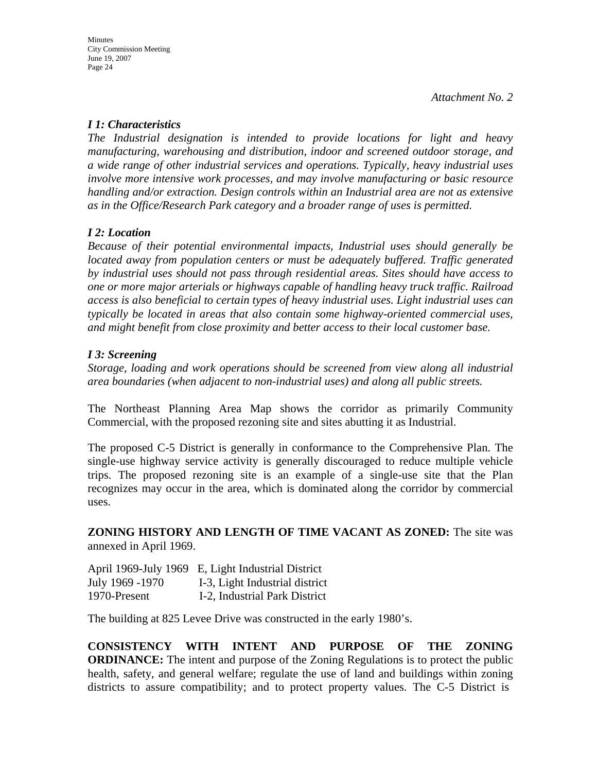# *I 1: Characteristics*

*The Industrial designation is intended to provide locations for light and heavy manufacturing, warehousing and distribution, indoor and screened outdoor storage, and a wide range of other industrial services and operations. Typically, heavy industrial uses involve more intensive work processes, and may involve manufacturing or basic resource handling and/or extraction. Design controls within an Industrial area are not as extensive as in the Office/Research Park category and a broader range of uses is permitted.* 

# *I 2: Location*

*Because of their potential environmental impacts, Industrial uses should generally be located away from population centers or must be adequately buffered. Traffic generated by industrial uses should not pass through residential areas. Sites should have access to one or more major arterials or highways capable of handling heavy truck traffic. Railroad access is also beneficial to certain types of heavy industrial uses. Light industrial uses can typically be located in areas that also contain some highway-oriented commercial uses, and might benefit from close proximity and better access to their local customer base.* 

# *I 3: Screening*

*Storage, loading and work operations should be screened from view along all industrial area boundaries (when adjacent to non-industrial uses) and along all public streets.* 

The Northeast Planning Area Map shows the corridor as primarily Community Commercial, with the proposed rezoning site and sites abutting it as Industrial.

The proposed C-5 District is generally in conformance to the Comprehensive Plan. The single-use highway service activity is generally discouraged to reduce multiple vehicle trips. The proposed rezoning site is an example of a single-use site that the Plan recognizes may occur in the area, which is dominated along the corridor by commercial uses.

**ZONING HISTORY AND LENGTH OF TIME VACANT AS ZONED:** The site was annexed in April 1969.

April 1969-July 1969 E, Light Industrial District July 1969 -1970 I-3, Light Industrial district 1970-Present I-2, Industrial Park District

The building at 825 Levee Drive was constructed in the early 1980's.

**CONSISTENCY WITH INTENT AND PURPOSE OF THE ZONING ORDINANCE:** The intent and purpose of the Zoning Regulations is to protect the public health, safety, and general welfare; regulate the use of land and buildings within zoning districts to assure compatibility; and to protect property values. The C-5 District is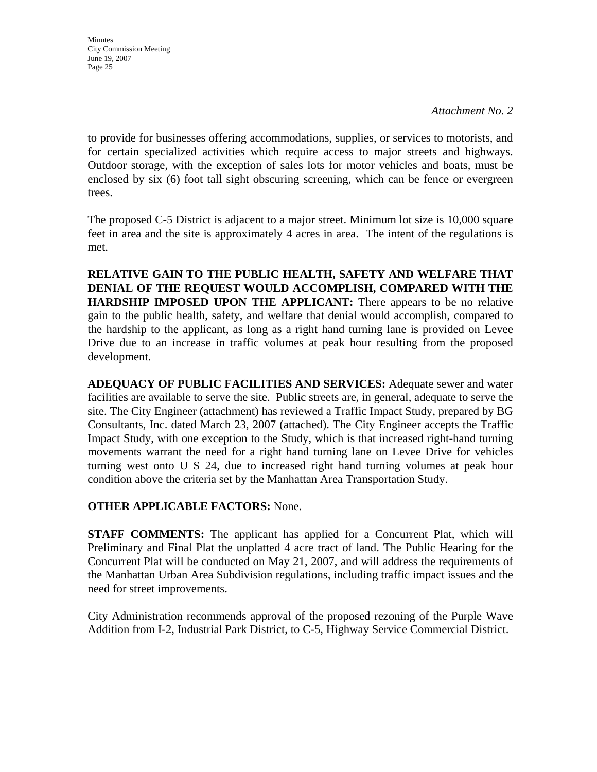*Attachment No. 2* 

to provide for businesses offering accommodations, supplies, or services to motorists, and for certain specialized activities which require access to major streets and highways. Outdoor storage, with the exception of sales lots for motor vehicles and boats, must be enclosed by six (6) foot tall sight obscuring screening, which can be fence or evergreen trees.

The proposed C-5 District is adjacent to a major street. Minimum lot size is 10,000 square feet in area and the site is approximately 4 acres in area. The intent of the regulations is met.

**RELATIVE GAIN TO THE PUBLIC HEALTH, SAFETY AND WELFARE THAT DENIAL OF THE REQUEST WOULD ACCOMPLISH, COMPARED WITH THE HARDSHIP IMPOSED UPON THE APPLICANT:** There appears to be no relative gain to the public health, safety, and welfare that denial would accomplish, compared to the hardship to the applicant, as long as a right hand turning lane is provided on Levee Drive due to an increase in traffic volumes at peak hour resulting from the proposed development.

**ADEQUACY OF PUBLIC FACILITIES AND SERVICES:** Adequate sewer and water facilities are available to serve the site. Public streets are, in general, adequate to serve the site. The City Engineer (attachment) has reviewed a Traffic Impact Study, prepared by BG Consultants, Inc. dated March 23, 2007 (attached). The City Engineer accepts the Traffic Impact Study, with one exception to the Study, which is that increased right-hand turning movements warrant the need for a right hand turning lane on Levee Drive for vehicles turning west onto U S 24, due to increased right hand turning volumes at peak hour condition above the criteria set by the Manhattan Area Transportation Study.

# **OTHER APPLICABLE FACTORS:** None.

**STAFF COMMENTS:** The applicant has applied for a Concurrent Plat, which will Preliminary and Final Plat the unplatted 4 acre tract of land. The Public Hearing for the Concurrent Plat will be conducted on May 21, 2007, and will address the requirements of the Manhattan Urban Area Subdivision regulations, including traffic impact issues and the need for street improvements.

City Administration recommends approval of the proposed rezoning of the Purple Wave Addition from I-2, Industrial Park District, to C-5, Highway Service Commercial District.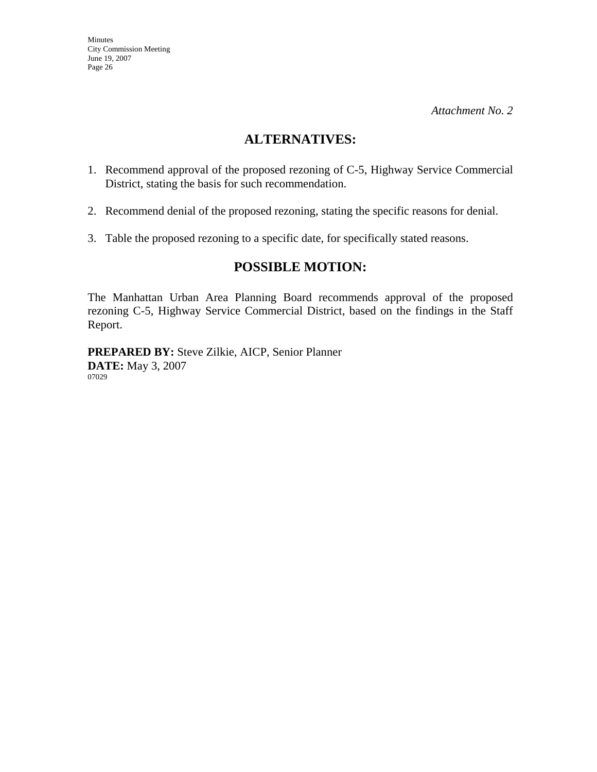# **ALTERNATIVES:**

- 1. Recommend approval of the proposed rezoning of C-5, Highway Service Commercial District, stating the basis for such recommendation.
- 2. Recommend denial of the proposed rezoning, stating the specific reasons for denial.
- 3. Table the proposed rezoning to a specific date, for specifically stated reasons.

# **POSSIBLE MOTION:**

The Manhattan Urban Area Planning Board recommends approval of the proposed rezoning C-5, Highway Service Commercial District, based on the findings in the Staff Report.

**PREPARED BY:** Steve Zilkie, AICP, Senior Planner **DATE:** May 3, 2007 07029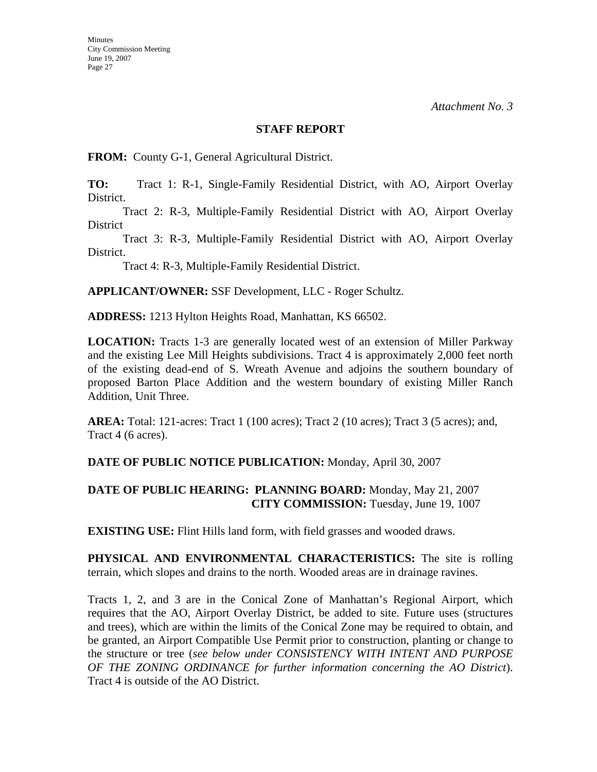**Minutes** 

*Attachment No. 3* 

### **STAFF REPORT**

**FROM:** County G-1, General Agricultural District.

**TO:** Tract 1: R-1, Single-Family Residential District, with AO, Airport Overlay District.

 Tract 2: R-3, Multiple-Family Residential District with AO, Airport Overlay District

 Tract 3: R-3, Multiple-Family Residential District with AO, Airport Overlay District.

Tract 4: R-3, Multiple-Family Residential District.

**APPLICANT/OWNER:** SSF Development, LLC - Roger Schultz.

**ADDRESS:** 1213 Hylton Heights Road, Manhattan, KS 66502.

**LOCATION:** Tracts 1-3 are generally located west of an extension of Miller Parkway and the existing Lee Mill Heights subdivisions. Tract 4 is approximately 2,000 feet north of the existing dead-end of S. Wreath Avenue and adjoins the southern boundary of proposed Barton Place Addition and the western boundary of existing Miller Ranch Addition, Unit Three.

**AREA:** Total: 121-acres: Tract 1 (100 acres); Tract 2 (10 acres); Tract 3 (5 acres); and, Tract 4 (6 acres).

# **DATE OF PUBLIC NOTICE PUBLICATION:** Monday, April 30, 2007

# **DATE OF PUBLIC HEARING: PLANNING BOARD:** Monday, May 21, 2007 **CITY COMMISSION:** Tuesday, June 19, 1007

**EXISTING USE:** Flint Hills land form, with field grasses and wooded draws.

**PHYSICAL AND ENVIRONMENTAL CHARACTERISTICS:** The site is rolling terrain, which slopes and drains to the north. Wooded areas are in drainage ravines.

Tracts 1, 2, and 3 are in the Conical Zone of Manhattan's Regional Airport, which requires that the AO, Airport Overlay District, be added to site. Future uses (structures and trees), which are within the limits of the Conical Zone may be required to obtain, and be granted, an Airport Compatible Use Permit prior to construction, planting or change to the structure or tree (*see below under CONSISTENCY WITH INTENT AND PURPOSE OF THE ZONING ORDINANCE for further information concerning the AO District*). Tract 4 is outside of the AO District.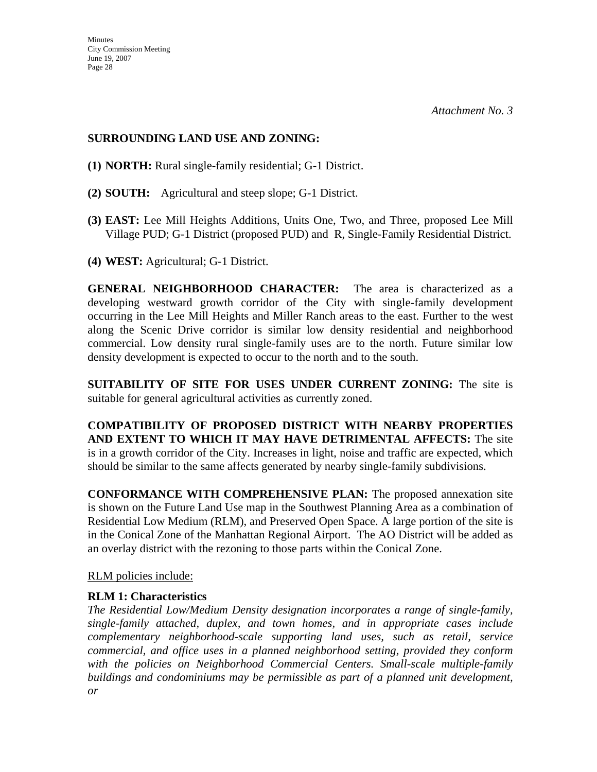# **SURROUNDING LAND USE AND ZONING:**

- **(1) NORTH:** Rural single-family residential; G-1 District.
- **(2) SOUTH:** Agricultural and steep slope; G-1 District.
- **(3) EAST:** Lee Mill Heights Additions, Units One, Two, and Three, proposed Lee Mill Village PUD; G-1 District (proposed PUD) and R, Single-Family Residential District.
- **(4) WEST:** Agricultural; G-1 District.

**GENERAL NEIGHBORHOOD CHARACTER:** The area is characterized as a developing westward growth corridor of the City with single-family development occurring in the Lee Mill Heights and Miller Ranch areas to the east. Further to the west along the Scenic Drive corridor is similar low density residential and neighborhood commercial. Low density rural single-family uses are to the north. Future similar low density development is expected to occur to the north and to the south.

**SUITABILITY OF SITE FOR USES UNDER CURRENT ZONING:** The site is suitable for general agricultural activities as currently zoned.

**COMPATIBILITY OF PROPOSED DISTRICT WITH NEARBY PROPERTIES AND EXTENT TO WHICH IT MAY HAVE DETRIMENTAL AFFECTS:** The site is in a growth corridor of the City. Increases in light, noise and traffic are expected, which should be similar to the same affects generated by nearby single-family subdivisions.

**CONFORMANCE WITH COMPREHENSIVE PLAN:** The proposed annexation site is shown on the Future Land Use map in the Southwest Planning Area as a combination of Residential Low Medium (RLM), and Preserved Open Space. A large portion of the site is in the Conical Zone of the Manhattan Regional Airport. The AO District will be added as an overlay district with the rezoning to those parts within the Conical Zone.

RLM policies include:

# **RLM 1: Characteristics**

*The Residential Low/Medium Density designation incorporates a range of single-family, single-family attached, duplex, and town homes, and in appropriate cases include complementary neighborhood-scale supporting land uses, such as retail, service commercial, and office uses in a planned neighborhood setting, provided they conform*  with the policies on Neighborhood Commercial Centers. Small-scale multiple-family *buildings and condominiums may be permissible as part of a planned unit development, or*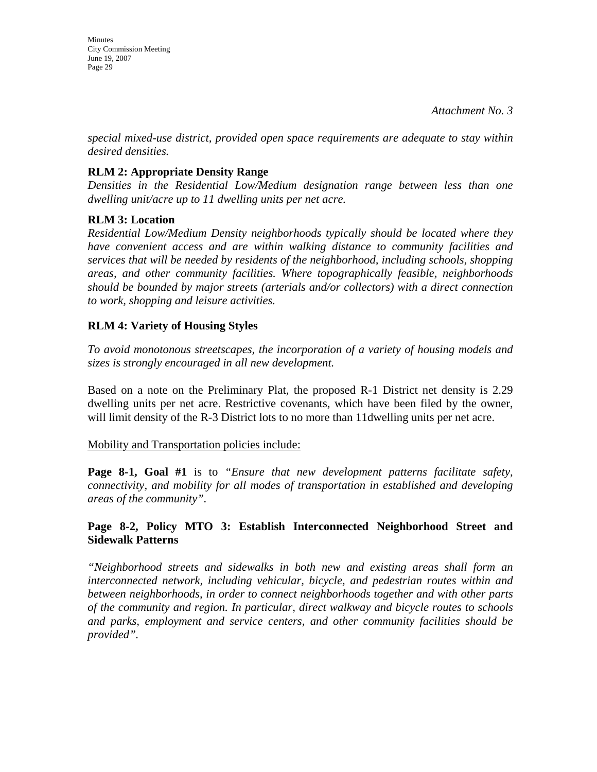**Minutes** City Commission Meeting June 19, 2007 Page 29

*special mixed-use district, provided open space requirements are adequate to stay within desired densities.* 

# **RLM 2: Appropriate Density Range**

*Densities in the Residential Low/Medium designation range between less than one dwelling unit/acre up to 11 dwelling units per net acre.* 

# **RLM 3: Location**

*Residential Low/Medium Density neighborhoods typically should be located where they have convenient access and are within walking distance to community facilities and services that will be needed by residents of the neighborhood, including schools, shopping areas, and other community facilities. Where topographically feasible, neighborhoods should be bounded by major streets (arterials and/or collectors) with a direct connection to work, shopping and leisure activities.* 

# **RLM 4: Variety of Housing Styles**

*To avoid monotonous streetscapes, the incorporation of a variety of housing models and sizes is strongly encouraged in all new development.* 

Based on a note on the Preliminary Plat, the proposed R-1 District net density is 2.29 dwelling units per net acre. Restrictive covenants, which have been filed by the owner, will limit density of the R-3 District lots to no more than 11dwelling units per net acre.

#### Mobility and Transportation policies include:

**Page 8-1, Goal #1** is to *"Ensure that new development patterns facilitate safety, connectivity, and mobility for all modes of transportation in established and developing areas of the community".* 

# **Page 8-2, Policy MTO 3: Establish Interconnected Neighborhood Street and Sidewalk Patterns**

*"Neighborhood streets and sidewalks in both new and existing areas shall form an interconnected network, including vehicular, bicycle, and pedestrian routes within and between neighborhoods, in order to connect neighborhoods together and with other parts of the community and region. In particular, direct walkway and bicycle routes to schools and parks, employment and service centers, and other community facilities should be provided".*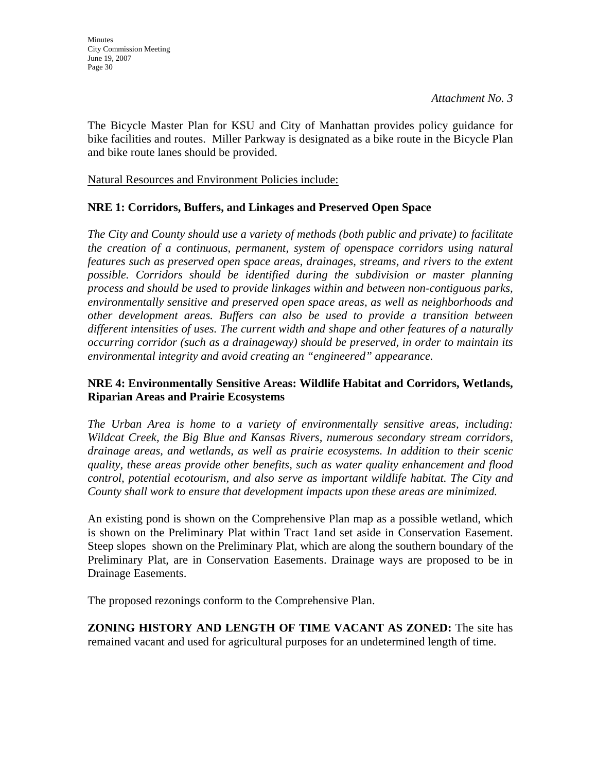The Bicycle Master Plan for KSU and City of Manhattan provides policy guidance for bike facilities and routes. Miller Parkway is designated as a bike route in the Bicycle Plan and bike route lanes should be provided.

Natural Resources and Environment Policies include:

# **NRE 1: Corridors, Buffers, and Linkages and Preserved Open Space**

*The City and County should use a variety of methods (both public and private) to facilitate the creation of a continuous, permanent, system of openspace corridors using natural features such as preserved open space areas, drainages, streams, and rivers to the extent possible. Corridors should be identified during the subdivision or master planning process and should be used to provide linkages within and between non-contiguous parks, environmentally sensitive and preserved open space areas, as well as neighborhoods and other development areas. Buffers can also be used to provide a transition between different intensities of uses. The current width and shape and other features of a naturally occurring corridor (such as a drainageway) should be preserved, in order to maintain its environmental integrity and avoid creating an "engineered" appearance.* 

# **NRE 4: Environmentally Sensitive Areas: Wildlife Habitat and Corridors, Wetlands, Riparian Areas and Prairie Ecosystems**

*The Urban Area is home to a variety of environmentally sensitive areas, including: Wildcat Creek, the Big Blue and Kansas Rivers, numerous secondary stream corridors, drainage areas, and wetlands, as well as prairie ecosystems. In addition to their scenic quality, these areas provide other benefits, such as water quality enhancement and flood control, potential ecotourism, and also serve as important wildlife habitat. The City and County shall work to ensure that development impacts upon these areas are minimized.* 

An existing pond is shown on the Comprehensive Plan map as a possible wetland, which is shown on the Preliminary Plat within Tract 1and set aside in Conservation Easement. Steep slopes shown on the Preliminary Plat, which are along the southern boundary of the Preliminary Plat, are in Conservation Easements. Drainage ways are proposed to be in Drainage Easements.

The proposed rezonings conform to the Comprehensive Plan.

**ZONING HISTORY AND LENGTH OF TIME VACANT AS ZONED:** The site has remained vacant and used for agricultural purposes for an undetermined length of time.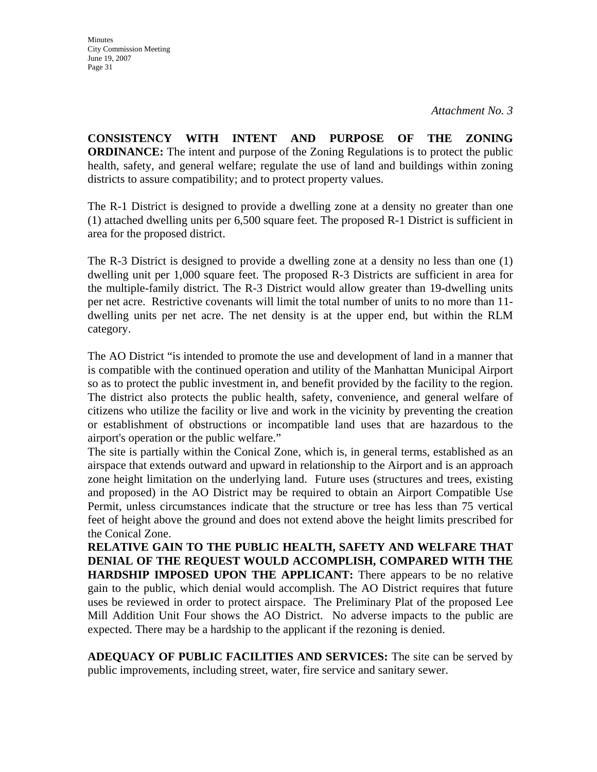**CONSISTENCY WITH INTENT AND PURPOSE OF THE ZONING ORDINANCE:** The intent and purpose of the Zoning Regulations is to protect the public health, safety, and general welfare; regulate the use of land and buildings within zoning districts to assure compatibility; and to protect property values.

The R-1 District is designed to provide a dwelling zone at a density no greater than one (1) attached dwelling units per 6,500 square feet. The proposed R-1 District is sufficient in area for the proposed district.

The R-3 District is designed to provide a dwelling zone at a density no less than one (1) dwelling unit per 1,000 square feet. The proposed R-3 Districts are sufficient in area for the multiple-family district. The R-3 District would allow greater than 19-dwelling units per net acre. Restrictive covenants will limit the total number of units to no more than 11 dwelling units per net acre. The net density is at the upper end, but within the RLM category.

The AO District "is intended to promote the use and development of land in a manner that is compatible with the continued operation and utility of the Manhattan Municipal Airport so as to protect the public investment in, and benefit provided by the facility to the region. The district also protects the public health, safety, convenience, and general welfare of citizens who utilize the facility or live and work in the vicinity by preventing the creation or establishment of obstructions or incompatible land uses that are hazardous to the airport's operation or the public welfare."

The site is partially within the Conical Zone, which is, in general terms, established as an airspace that extends outward and upward in relationship to the Airport and is an approach zone height limitation on the underlying land. Future uses (structures and trees, existing and proposed) in the AO District may be required to obtain an Airport Compatible Use Permit, unless circumstances indicate that the structure or tree has less than 75 vertical feet of height above the ground and does not extend above the height limits prescribed for the Conical Zone.

**RELATIVE GAIN TO THE PUBLIC HEALTH, SAFETY AND WELFARE THAT DENIAL OF THE REQUEST WOULD ACCOMPLISH, COMPARED WITH THE HARDSHIP IMPOSED UPON THE APPLICANT:** There appears to be no relative gain to the public, which denial would accomplish. The AO District requires that future uses be reviewed in order to protect airspace. The Preliminary Plat of the proposed Lee Mill Addition Unit Four shows the AO District. No adverse impacts to the public are expected. There may be a hardship to the applicant if the rezoning is denied.

**ADEQUACY OF PUBLIC FACILITIES AND SERVICES:** The site can be served by public improvements, including street, water, fire service and sanitary sewer.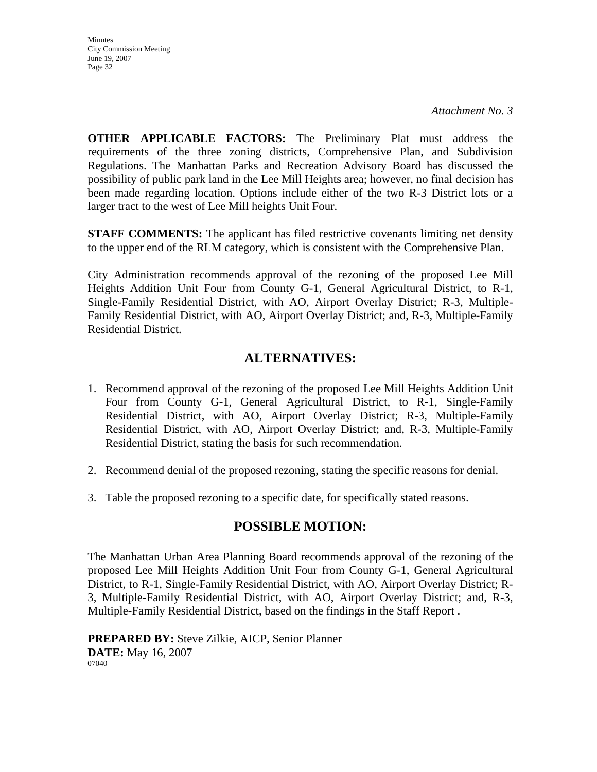**Minutes** City Commission Meeting June 19, 2007 Page 32

**OTHER APPLICABLE FACTORS:** The Preliminary Plat must address the requirements of the three zoning districts, Comprehensive Plan, and Subdivision Regulations. The Manhattan Parks and Recreation Advisory Board has discussed the possibility of public park land in the Lee Mill Heights area; however, no final decision has been made regarding location. Options include either of the two R-3 District lots or a larger tract to the west of Lee Mill heights Unit Four.

**STAFF COMMENTS:** The applicant has filed restrictive covenants limiting net density to the upper end of the RLM category, which is consistent with the Comprehensive Plan.

City Administration recommends approval of the rezoning of the proposed Lee Mill Heights Addition Unit Four from County G-1, General Agricultural District, to R-1, Single-Family Residential District, with AO, Airport Overlay District; R-3, Multiple-Family Residential District, with AO, Airport Overlay District; and, R-3, Multiple-Family Residential District.

# **ALTERNATIVES:**

- 1. Recommend approval of the rezoning of the proposed Lee Mill Heights Addition Unit Four from County G-1, General Agricultural District, to R-1, Single-Family Residential District, with AO, Airport Overlay District; R-3, Multiple-Family Residential District, with AO, Airport Overlay District; and, R-3, Multiple-Family Residential District, stating the basis for such recommendation.
- 2. Recommend denial of the proposed rezoning, stating the specific reasons for denial.
- 3. Table the proposed rezoning to a specific date, for specifically stated reasons.

# **POSSIBLE MOTION:**

The Manhattan Urban Area Planning Board recommends approval of the rezoning of the proposed Lee Mill Heights Addition Unit Four from County G-1, General Agricultural District, to R-1, Single-Family Residential District, with AO, Airport Overlay District; R-3, Multiple-Family Residential District, with AO, Airport Overlay District; and, R-3, Multiple-Family Residential District, based on the findings in the Staff Report .

**PREPARED BY:** Steve Zilkie, AICP, Senior Planner **DATE:** May 16, 2007 07040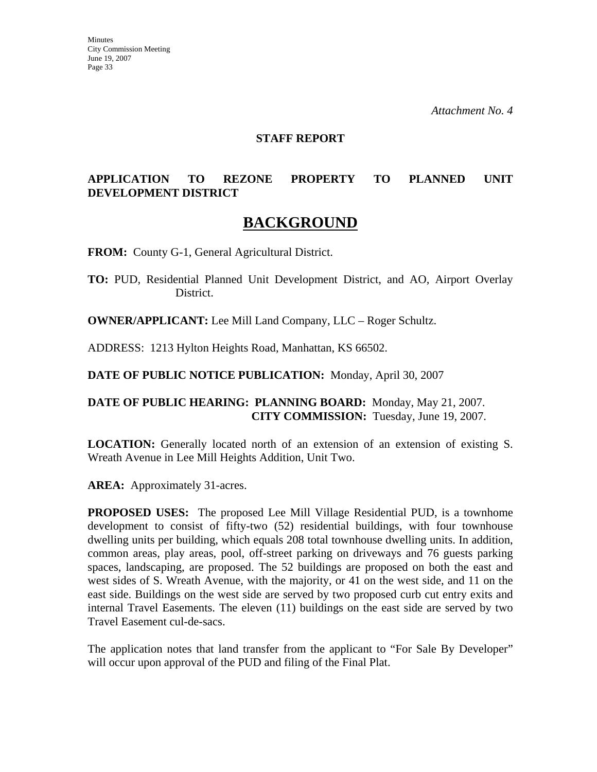*Attachment No. 4* 

#### **STAFF REPORT**

# **APPLICATION TO REZONE PROPERTY TO PLANNED UNIT DEVELOPMENT DISTRICT**

# **BACKGROUND**

**FROM:** County G-1, General Agricultural District.

**TO:** PUD, Residential Planned Unit Development District, and AO, Airport Overlay District.

**OWNER/APPLICANT:** Lee Mill Land Company, LLC – Roger Schultz.

ADDRESS: 1213 Hylton Heights Road, Manhattan, KS 66502.

**DATE OF PUBLIC NOTICE PUBLICATION:** Monday, April 30, 2007

# **DATE OF PUBLIC HEARING: PLANNING BOARD:** Monday, May 21, 2007. **CITY COMMISSION:** Tuesday, June 19, 2007.

**LOCATION:** Generally located north of an extension of an extension of existing S. Wreath Avenue in Lee Mill Heights Addition, Unit Two.

**AREA:** Approximately 31-acres.

**PROPOSED USES:** The proposed Lee Mill Village Residential PUD, is a townhome development to consist of fifty-two (52) residential buildings, with four townhouse dwelling units per building, which equals 208 total townhouse dwelling units. In addition, common areas, play areas, pool, off-street parking on driveways and 76 guests parking spaces, landscaping, are proposed. The 52 buildings are proposed on both the east and west sides of S. Wreath Avenue, with the majority, or 41 on the west side, and 11 on the east side. Buildings on the west side are served by two proposed curb cut entry exits and internal Travel Easements. The eleven (11) buildings on the east side are served by two Travel Easement cul-de-sacs.

The application notes that land transfer from the applicant to "For Sale By Developer" will occur upon approval of the PUD and filing of the Final Plat.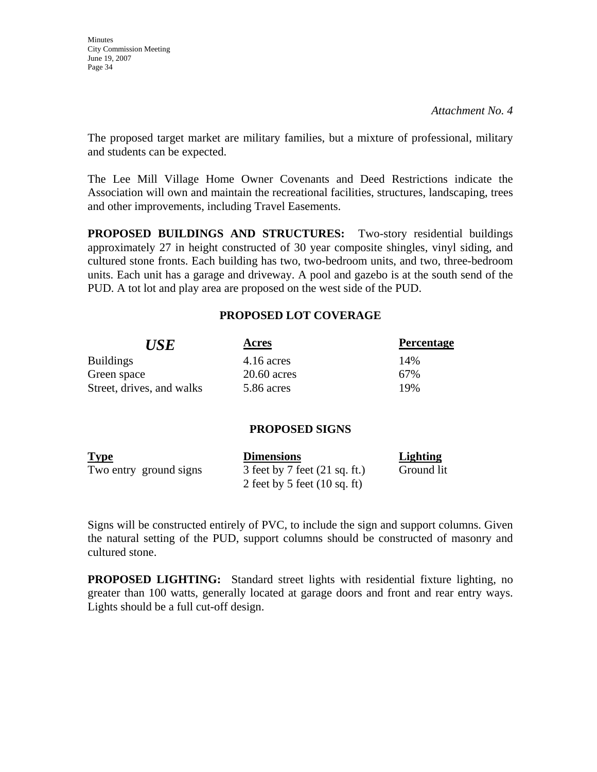**Minutes** City Commission Meeting June 19, 2007 Page 34

The proposed target market are military families, but a mixture of professional, military and students can be expected.

The Lee Mill Village Home Owner Covenants and Deed Restrictions indicate the Association will own and maintain the recreational facilities, structures, landscaping, trees and other improvements, including Travel Easements.

**PROPOSED BUILDINGS AND STRUCTURES:** Two-story residential buildings approximately 27 in height constructed of 30 year composite shingles, vinyl siding, and cultured stone fronts. Each building has two, two-bedroom units, and two, three-bedroom units. Each unit has a garage and driveway. A pool and gazebo is at the south send of the PUD. A tot lot and play area are proposed on the west side of the PUD.

# **PROPOSED LOT COVERAGE**

| <b>USE</b>                | Acres         | <b>Percentage</b> |
|---------------------------|---------------|-------------------|
| <b>Buildings</b>          | $4.16$ acres  | 14%               |
| Green space               | $20.60$ acres | 67%               |
| Street, drives, and walks | 5.86 acres    | 19%               |

# **PROPOSED SIGNS**

| <b>Type</b>            | <b>Dimensions</b>                       | Lighting   |
|------------------------|-----------------------------------------|------------|
| Two entry ground signs | 3 feet by 7 feet $(21 \text{ sq. ft.})$ | Ground lit |
|                        | 2 feet by 5 feet $(10 \text{ sq. ft})$  |            |

Signs will be constructed entirely of PVC, to include the sign and support columns. Given the natural setting of the PUD, support columns should be constructed of masonry and cultured stone.

**PROPOSED LIGHTING:** Standard street lights with residential fixture lighting, no greater than 100 watts, generally located at garage doors and front and rear entry ways. Lights should be a full cut-off design.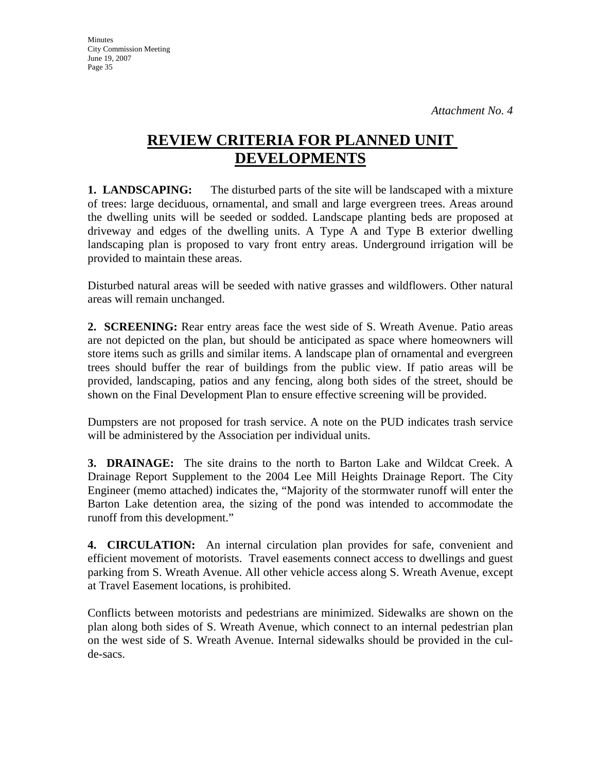**Minutes** City Commission Meeting June 19, 2007 Page 35

# **REVIEW CRITERIA FOR PLANNED UNIT DEVELOPMENTS**

**1. LANDSCAPING:** The disturbed parts of the site will be landscaped with a mixture of trees: large deciduous, ornamental, and small and large evergreen trees. Areas around the dwelling units will be seeded or sodded. Landscape planting beds are proposed at driveway and edges of the dwelling units. A Type A and Type B exterior dwelling landscaping plan is proposed to vary front entry areas. Underground irrigation will be provided to maintain these areas.

Disturbed natural areas will be seeded with native grasses and wildflowers. Other natural areas will remain unchanged.

**2. SCREENING:** Rear entry areas face the west side of S. Wreath Avenue. Patio areas are not depicted on the plan, but should be anticipated as space where homeowners will store items such as grills and similar items. A landscape plan of ornamental and evergreen trees should buffer the rear of buildings from the public view. If patio areas will be provided, landscaping, patios and any fencing, along both sides of the street, should be shown on the Final Development Plan to ensure effective screening will be provided.

Dumpsters are not proposed for trash service. A note on the PUD indicates trash service will be administered by the Association per individual units.

**3. DRAINAGE:** The site drains to the north to Barton Lake and Wildcat Creek. A Drainage Report Supplement to the 2004 Lee Mill Heights Drainage Report. The City Engineer (memo attached) indicates the, "Majority of the stormwater runoff will enter the Barton Lake detention area, the sizing of the pond was intended to accommodate the runoff from this development."

**4. CIRCULATION:** An internal circulation plan provides for safe, convenient and efficient movement of motorists. Travel easements connect access to dwellings and guest parking from S. Wreath Avenue. All other vehicle access along S. Wreath Avenue, except at Travel Easement locations, is prohibited.

Conflicts between motorists and pedestrians are minimized. Sidewalks are shown on the plan along both sides of S. Wreath Avenue, which connect to an internal pedestrian plan on the west side of S. Wreath Avenue. Internal sidewalks should be provided in the culde-sacs.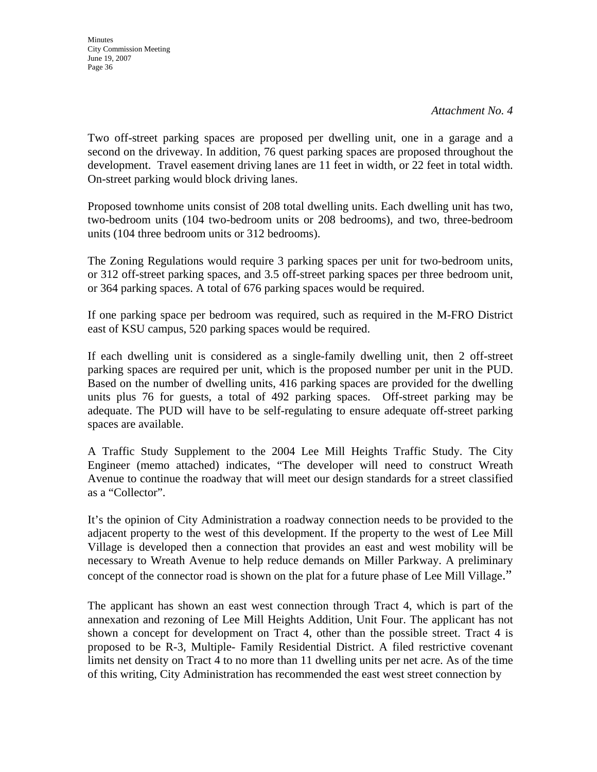Two off-street parking spaces are proposed per dwelling unit, one in a garage and a second on the driveway. In addition, 76 quest parking spaces are proposed throughout the development. Travel easement driving lanes are 11 feet in width, or 22 feet in total width. On-street parking would block driving lanes.

Proposed townhome units consist of 208 total dwelling units. Each dwelling unit has two, two-bedroom units (104 two-bedroom units or 208 bedrooms), and two, three-bedroom units (104 three bedroom units or 312 bedrooms).

The Zoning Regulations would require 3 parking spaces per unit for two-bedroom units, or 312 off-street parking spaces, and 3.5 off-street parking spaces per three bedroom unit, or 364 parking spaces. A total of 676 parking spaces would be required.

If one parking space per bedroom was required, such as required in the M-FRO District east of KSU campus, 520 parking spaces would be required.

If each dwelling unit is considered as a single-family dwelling unit, then 2 off-street parking spaces are required per unit, which is the proposed number per unit in the PUD. Based on the number of dwelling units, 416 parking spaces are provided for the dwelling units plus 76 for guests, a total of 492 parking spaces. Off-street parking may be adequate. The PUD will have to be self-regulating to ensure adequate off-street parking spaces are available.

A Traffic Study Supplement to the 2004 Lee Mill Heights Traffic Study. The City Engineer (memo attached) indicates, "The developer will need to construct Wreath Avenue to continue the roadway that will meet our design standards for a street classified as a "Collector".

It's the opinion of City Administration a roadway connection needs to be provided to the adjacent property to the west of this development. If the property to the west of Lee Mill Village is developed then a connection that provides an east and west mobility will be necessary to Wreath Avenue to help reduce demands on Miller Parkway. A preliminary concept of the connector road is shown on the plat for a future phase of Lee Mill Village."

The applicant has shown an east west connection through Tract 4, which is part of the annexation and rezoning of Lee Mill Heights Addition, Unit Four. The applicant has not shown a concept for development on Tract 4, other than the possible street. Tract 4 is proposed to be R-3, Multiple- Family Residential District. A filed restrictive covenant limits net density on Tract 4 to no more than 11 dwelling units per net acre. As of the time of this writing, City Administration has recommended the east west street connection by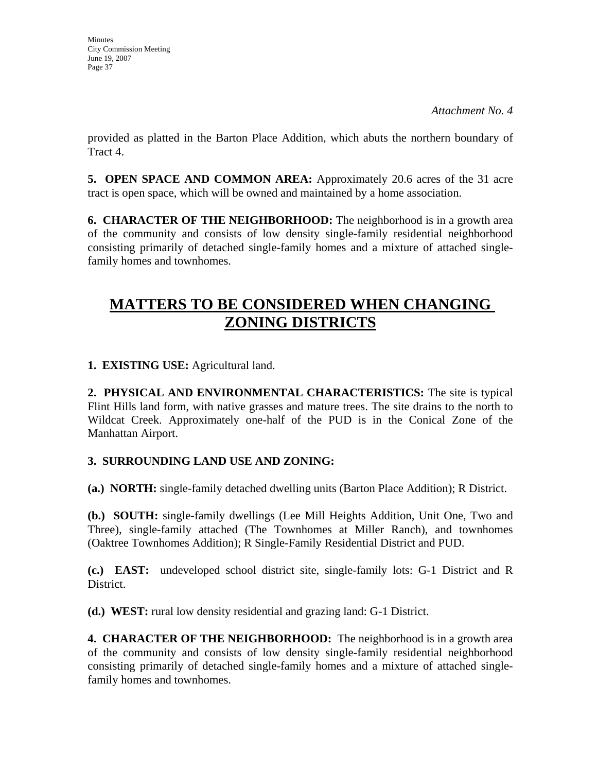*Attachment No. 4* 

provided as platted in the Barton Place Addition, which abuts the northern boundary of Tract 4.

**5. OPEN SPACE AND COMMON AREA:** Approximately 20.6 acres of the 31 acre tract is open space, which will be owned and maintained by a home association.

**6. CHARACTER OF THE NEIGHBORHOOD:** The neighborhood is in a growth area of the community and consists of low density single-family residential neighborhood consisting primarily of detached single-family homes and a mixture of attached singlefamily homes and townhomes.

# **MATTERS TO BE CONSIDERED WHEN CHANGING ZONING DISTRICTS**

**1. EXISTING USE:** Agricultural land.

**2. PHYSICAL AND ENVIRONMENTAL CHARACTERISTICS:** The site is typical Flint Hills land form, with native grasses and mature trees. The site drains to the north to Wildcat Creek. Approximately one-half of the PUD is in the Conical Zone of the Manhattan Airport.

# **3. SURROUNDING LAND USE AND ZONING:**

**(a.) NORTH:** single-family detached dwelling units (Barton Place Addition); R District.

**(b.) SOUTH:** single-family dwellings (Lee Mill Heights Addition, Unit One, Two and Three), single-family attached (The Townhomes at Miller Ranch), and townhomes (Oaktree Townhomes Addition); R Single-Family Residential District and PUD.

**(c.) EAST:** undeveloped school district site, single-family lots: G-1 District and R District.

**(d.) WEST:** rural low density residential and grazing land: G-1 District.

**4. CHARACTER OF THE NEIGHBORHOOD:** The neighborhood is in a growth area of the community and consists of low density single-family residential neighborhood consisting primarily of detached single-family homes and a mixture of attached singlefamily homes and townhomes.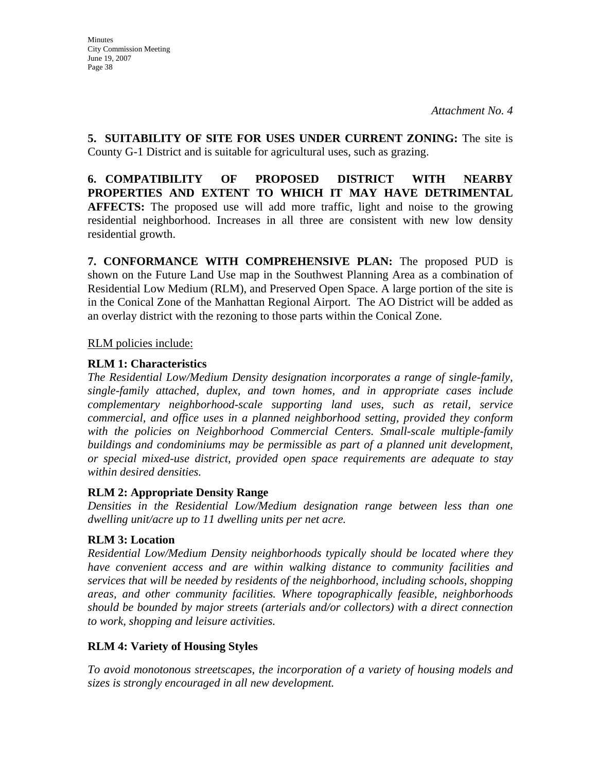**5. SUITABILITY OF SITE FOR USES UNDER CURRENT ZONING:** The site is County G-1 District and is suitable for agricultural uses, such as grazing.

**6. COMPATIBILITY OF PROPOSED DISTRICT WITH NEARBY PROPERTIES AND EXTENT TO WHICH IT MAY HAVE DETRIMENTAL AFFECTS:** The proposed use will add more traffic, light and noise to the growing residential neighborhood. Increases in all three are consistent with new low density residential growth.

**7. CONFORMANCE WITH COMPREHENSIVE PLAN:** The proposed PUD is shown on the Future Land Use map in the Southwest Planning Area as a combination of Residential Low Medium (RLM), and Preserved Open Space. A large portion of the site is in the Conical Zone of the Manhattan Regional Airport. The AO District will be added as an overlay district with the rezoning to those parts within the Conical Zone.

RLM policies include:

# **RLM 1: Characteristics**

*The Residential Low/Medium Density designation incorporates a range of single-family, single-family attached, duplex, and town homes, and in appropriate cases include complementary neighborhood-scale supporting land uses, such as retail, service commercial, and office uses in a planned neighborhood setting, provided they conform*  with the policies on Neighborhood Commercial Centers. Small-scale multiple-family *buildings and condominiums may be permissible as part of a planned unit development, or special mixed-use district, provided open space requirements are adequate to stay within desired densities.* 

# **RLM 2: Appropriate Density Range**

*Densities in the Residential Low/Medium designation range between less than one dwelling unit/acre up to 11 dwelling units per net acre.* 

# **RLM 3: Location**

*Residential Low/Medium Density neighborhoods typically should be located where they have convenient access and are within walking distance to community facilities and services that will be needed by residents of the neighborhood, including schools, shopping areas, and other community facilities. Where topographically feasible, neighborhoods should be bounded by major streets (arterials and/or collectors) with a direct connection to work, shopping and leisure activities.* 

# **RLM 4: Variety of Housing Styles**

*To avoid monotonous streetscapes, the incorporation of a variety of housing models and sizes is strongly encouraged in all new development.*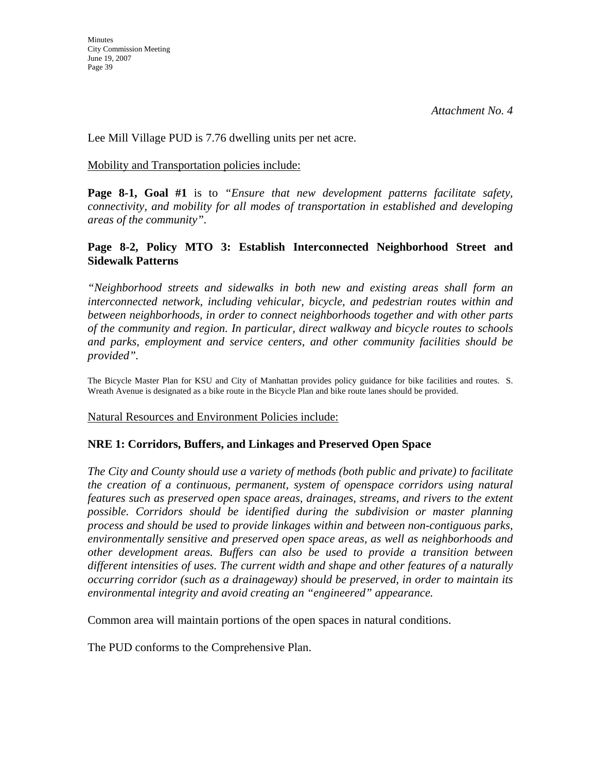Lee Mill Village PUD is 7.76 dwelling units per net acre.

#### Mobility and Transportation policies include:

**Page 8-1, Goal #1** is to *"Ensure that new development patterns facilitate safety, connectivity, and mobility for all modes of transportation in established and developing areas of the community".* 

# **Page 8-2, Policy MTO 3: Establish Interconnected Neighborhood Street and Sidewalk Patterns**

*"Neighborhood streets and sidewalks in both new and existing areas shall form an interconnected network, including vehicular, bicycle, and pedestrian routes within and between neighborhoods, in order to connect neighborhoods together and with other parts of the community and region. In particular, direct walkway and bicycle routes to schools and parks, employment and service centers, and other community facilities should be provided".* 

The Bicycle Master Plan for KSU and City of Manhattan provides policy guidance for bike facilities and routes. S. Wreath Avenue is designated as a bike route in the Bicycle Plan and bike route lanes should be provided.

Natural Resources and Environment Policies include:

# **NRE 1: Corridors, Buffers, and Linkages and Preserved Open Space**

*The City and County should use a variety of methods (both public and private) to facilitate the creation of a continuous, permanent, system of openspace corridors using natural features such as preserved open space areas, drainages, streams, and rivers to the extent possible. Corridors should be identified during the subdivision or master planning process and should be used to provide linkages within and between non-contiguous parks, environmentally sensitive and preserved open space areas, as well as neighborhoods and other development areas. Buffers can also be used to provide a transition between different intensities of uses. The current width and shape and other features of a naturally occurring corridor (such as a drainageway) should be preserved, in order to maintain its environmental integrity and avoid creating an "engineered" appearance.* 

Common area will maintain portions of the open spaces in natural conditions.

The PUD conforms to the Comprehensive Plan.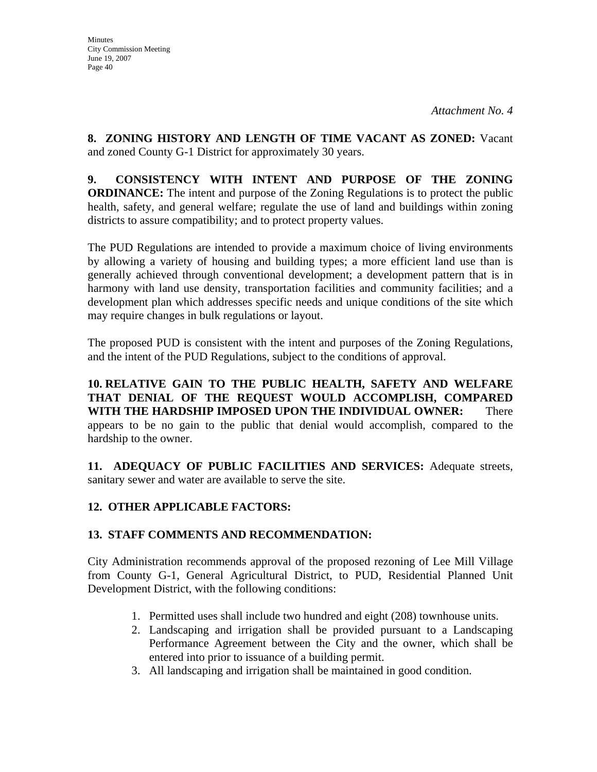**8. ZONING HISTORY AND LENGTH OF TIME VACANT AS ZONED:** Vacant and zoned County G-1 District for approximately 30 years.

**9. CONSISTENCY WITH INTENT AND PURPOSE OF THE ZONING ORDINANCE:** The intent and purpose of the Zoning Regulations is to protect the public health, safety, and general welfare; regulate the use of land and buildings within zoning districts to assure compatibility; and to protect property values.

The PUD Regulations are intended to provide a maximum choice of living environments by allowing a variety of housing and building types; a more efficient land use than is generally achieved through conventional development; a development pattern that is in harmony with land use density, transportation facilities and community facilities; and a development plan which addresses specific needs and unique conditions of the site which may require changes in bulk regulations or layout.

The proposed PUD is consistent with the intent and purposes of the Zoning Regulations, and the intent of the PUD Regulations, subject to the conditions of approval.

**10. RELATIVE GAIN TO THE PUBLIC HEALTH, SAFETY AND WELFARE THAT DENIAL OF THE REQUEST WOULD ACCOMPLISH, COMPARED WITH THE HARDSHIP IMPOSED UPON THE INDIVIDUAL OWNER:** There appears to be no gain to the public that denial would accomplish, compared to the hardship to the owner.

**11. ADEQUACY OF PUBLIC FACILITIES AND SERVICES:** Adequate streets, sanitary sewer and water are available to serve the site.

# **12. OTHER APPLICABLE FACTORS:**

# **13. STAFF COMMENTS AND RECOMMENDATION:**

City Administration recommends approval of the proposed rezoning of Lee Mill Village from County G-1, General Agricultural District, to PUD, Residential Planned Unit Development District, with the following conditions:

- 1. Permitted uses shall include two hundred and eight (208) townhouse units.
- 2. Landscaping and irrigation shall be provided pursuant to a Landscaping Performance Agreement between the City and the owner, which shall be entered into prior to issuance of a building permit.
- 3. All landscaping and irrigation shall be maintained in good condition.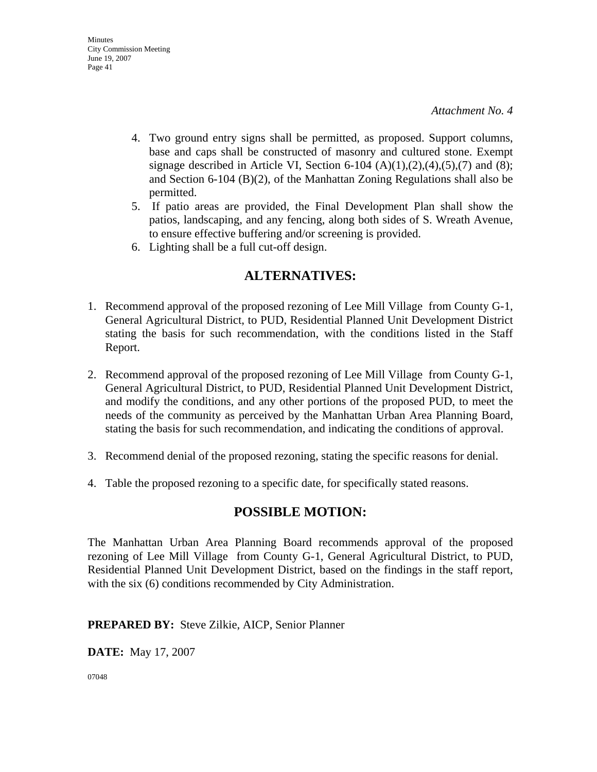- 4. Two ground entry signs shall be permitted, as proposed. Support columns, base and caps shall be constructed of masonry and cultured stone. Exempt signage described in Article VI, Section 6-104  $(A)(1),(2),(4),(5),(7)$  and  $(8)$ ; and Section 6-104 (B)(2), of the Manhattan Zoning Regulations shall also be permitted.
- 5. If patio areas are provided, the Final Development Plan shall show the patios, landscaping, and any fencing, along both sides of S. Wreath Avenue, to ensure effective buffering and/or screening is provided.
- 6. Lighting shall be a full cut-off design.

# **ALTERNATIVES:**

- 1. Recommend approval of the proposed rezoning of Lee Mill Village from County G-1, General Agricultural District, to PUD, Residential Planned Unit Development District stating the basis for such recommendation, with the conditions listed in the Staff Report.
- 2. Recommend approval of the proposed rezoning of Lee Mill Village from County G-1, General Agricultural District, to PUD, Residential Planned Unit Development District, and modify the conditions, and any other portions of the proposed PUD, to meet the needs of the community as perceived by the Manhattan Urban Area Planning Board, stating the basis for such recommendation, and indicating the conditions of approval.
- 3. Recommend denial of the proposed rezoning, stating the specific reasons for denial.
- 4. Table the proposed rezoning to a specific date, for specifically stated reasons.

# **POSSIBLE MOTION:**

The Manhattan Urban Area Planning Board recommends approval of the proposed rezoning of Lee Mill Village from County G-1, General Agricultural District, to PUD, Residential Planned Unit Development District, based on the findings in the staff report, with the six (6) conditions recommended by City Administration.

# **PREPARED BY:** Steve Zilkie, AICP, Senior Planner

**DATE:** May 17, 2007

07048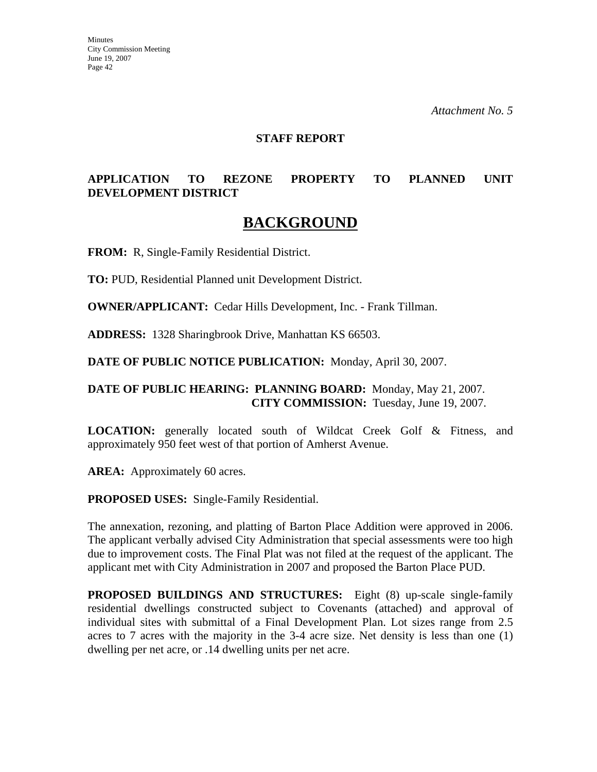*Attachment No. 5* 

#### **STAFF REPORT**

# **APPLICATION TO REZONE PROPERTY TO PLANNED UNIT DEVELOPMENT DISTRICT**

# **BACKGROUND**

**FROM:** R, Single-Family Residential District.

**TO:** PUD, Residential Planned unit Development District.

**OWNER/APPLICANT:** Cedar Hills Development, Inc. - Frank Tillman.

**ADDRESS:** 1328 Sharingbrook Drive, Manhattan KS 66503.

**DATE OF PUBLIC NOTICE PUBLICATION:** Monday, April 30, 2007.

### **DATE OF PUBLIC HEARING: PLANNING BOARD:** Monday, May 21, 2007. **CITY COMMISSION:** Tuesday, June 19, 2007.

**LOCATION:** generally located south of Wildcat Creek Golf & Fitness, and approximately 950 feet west of that portion of Amherst Avenue.

AREA: Approximately 60 acres.

**PROPOSED USES:** Single-Family Residential.

The annexation, rezoning, and platting of Barton Place Addition were approved in 2006. The applicant verbally advised City Administration that special assessments were too high due to improvement costs. The Final Plat was not filed at the request of the applicant. The applicant met with City Administration in 2007 and proposed the Barton Place PUD.

**PROPOSED BUILDINGS AND STRUCTURES:** Eight (8) up-scale single-family residential dwellings constructed subject to Covenants (attached) and approval of individual sites with submittal of a Final Development Plan. Lot sizes range from 2.5 acres to 7 acres with the majority in the 3-4 acre size. Net density is less than one (1) dwelling per net acre, or .14 dwelling units per net acre.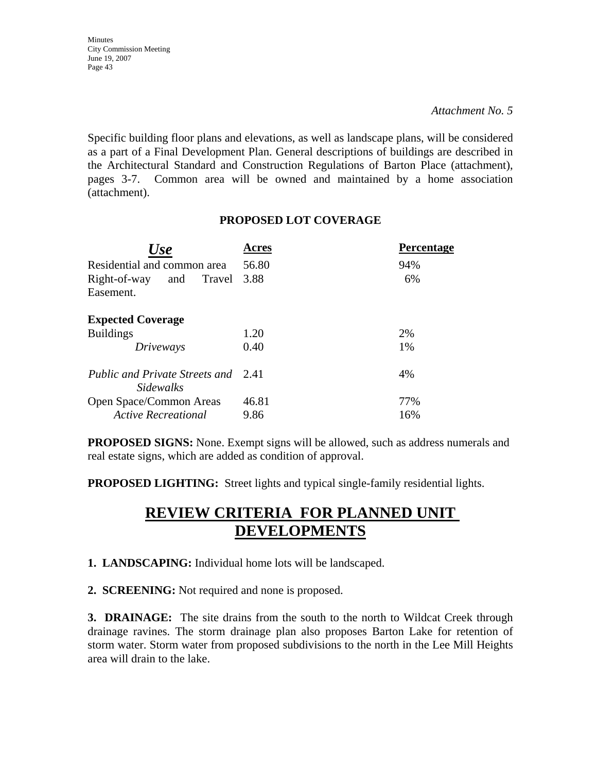*Attachment No. 5* 

Specific building floor plans and elevations, as well as landscape plans, will be considered as a part of a Final Development Plan. General descriptions of buildings are described in the Architectural Standard and Construction Regulations of Barton Place (attachment), pages 3-7. Common area will be owned and maintained by a home association (attachment).

# **PROPOSED LOT COVERAGE**

| Use                                                     | Acres | <b>Percentage</b> |
|---------------------------------------------------------|-------|-------------------|
| Residential and common area                             | 56.80 | 94%               |
| Right-of-way<br>Travel<br>and<br>Easement.              | 3.88  | 6%                |
| <b>Expected Coverage</b>                                |       |                   |
| <b>Buildings</b>                                        | 1.20  | 2%                |
| Driveways                                               | 0.40  | 1%                |
| Public and Private Streets and 2.41<br><i>Sidewalks</i> |       | 4%                |
| Open Space/Common Areas                                 | 46.81 | 77%               |
| <b>Active Recreational</b>                              | 9.86  | 16%               |

**PROPOSED SIGNS:** None. Exempt signs will be allowed, such as address numerals and real estate signs, which are added as condition of approval.

**PROPOSED LIGHTING:** Street lights and typical single-family residential lights.

# **REVIEW CRITERIA FOR PLANNED UNIT DEVELOPMENTS**

**1. LANDSCAPING:** Individual home lots will be landscaped.

**2. SCREENING:** Not required and none is proposed.

**3. DRAINAGE:** The site drains from the south to the north to Wildcat Creek through drainage ravines. The storm drainage plan also proposes Barton Lake for retention of storm water. Storm water from proposed subdivisions to the north in the Lee Mill Heights area will drain to the lake.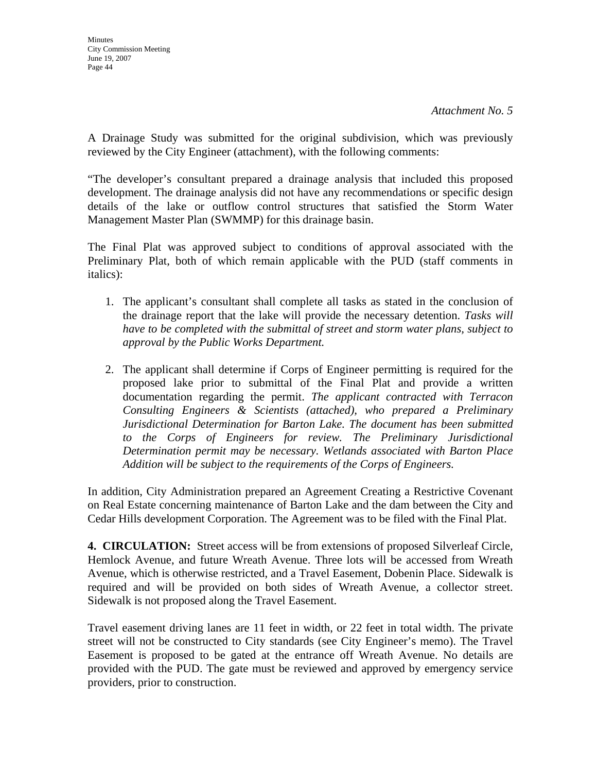A Drainage Study was submitted for the original subdivision, which was previously reviewed by the City Engineer (attachment), with the following comments:

"The developer's consultant prepared a drainage analysis that included this proposed development. The drainage analysis did not have any recommendations or specific design details of the lake or outflow control structures that satisfied the Storm Water Management Master Plan (SWMMP) for this drainage basin.

The Final Plat was approved subject to conditions of approval associated with the Preliminary Plat, both of which remain applicable with the PUD (staff comments in italics):

- 1. The applicant's consultant shall complete all tasks as stated in the conclusion of the drainage report that the lake will provide the necessary detention. *Tasks will have to be completed with the submittal of street and storm water plans, subject to approval by the Public Works Department.*
- 2. The applicant shall determine if Corps of Engineer permitting is required for the proposed lake prior to submittal of the Final Plat and provide a written documentation regarding the permit. *The applicant contracted with Terracon Consulting Engineers & Scientists (attached), who prepared a Preliminary Jurisdictional Determination for Barton Lake. The document has been submitted to the Corps of Engineers for review. The Preliminary Jurisdictional Determination permit may be necessary. Wetlands associated with Barton Place Addition will be subject to the requirements of the Corps of Engineers.*

In addition, City Administration prepared an Agreement Creating a Restrictive Covenant on Real Estate concerning maintenance of Barton Lake and the dam between the City and Cedar Hills development Corporation. The Agreement was to be filed with the Final Plat.

**4. CIRCULATION:** Street access will be from extensions of proposed Silverleaf Circle, Hemlock Avenue, and future Wreath Avenue. Three lots will be accessed from Wreath Avenue, which is otherwise restricted, and a Travel Easement, Dobenin Place. Sidewalk is required and will be provided on both sides of Wreath Avenue, a collector street. Sidewalk is not proposed along the Travel Easement.

Travel easement driving lanes are 11 feet in width, or 22 feet in total width. The private street will not be constructed to City standards (see City Engineer's memo). The Travel Easement is proposed to be gated at the entrance off Wreath Avenue. No details are provided with the PUD. The gate must be reviewed and approved by emergency service providers, prior to construction.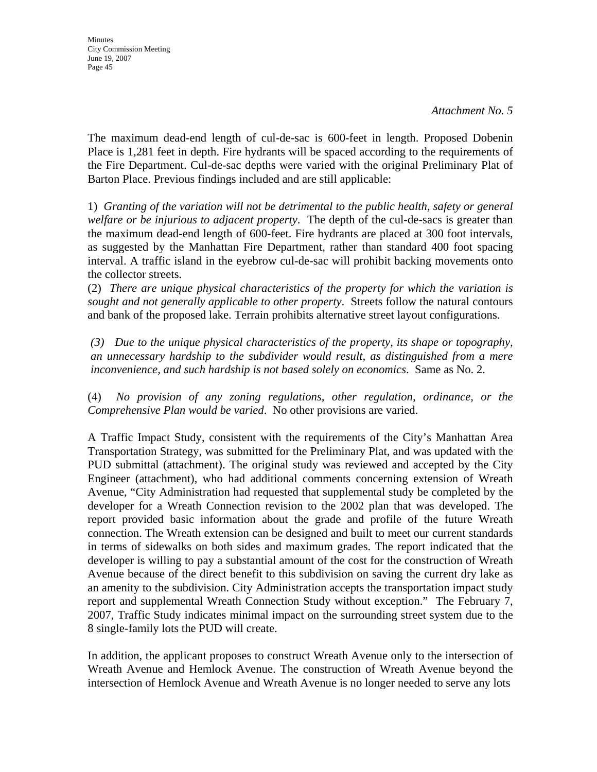**Minutes** City Commission Meeting June 19, 2007 Page 45

The maximum dead-end length of cul-de-sac is 600-feet in length. Proposed Dobenin Place is 1,281 feet in depth. Fire hydrants will be spaced according to the requirements of the Fire Department. Cul-de-sac depths were varied with the original Preliminary Plat of Barton Place. Previous findings included and are still applicable:

1) *Granting of the variation will not be detrimental to the public health, safety or general welfare or be injurious to adjacent property*. The depth of the cul-de-sacs is greater than the maximum dead-end length of 600-feet. Fire hydrants are placed at 300 foot intervals, as suggested by the Manhattan Fire Department, rather than standard 400 foot spacing interval. A traffic island in the eyebrow cul-de-sac will prohibit backing movements onto the collector streets.

(2) *There are unique physical characteristics of the property for which the variation is sought and not generally applicable to other property*. Streets follow the natural contours and bank of the proposed lake. Terrain prohibits alternative street layout configurations.

*(3) Due to the unique physical characteristics of the property, its shape or topography, an unnecessary hardship to the subdivider would result, as distinguished from a mere inconvenience, and such hardship is not based solely on economics*. Same as No. 2.

(4) *No provision of any zoning regulations, other regulation, ordinance, or the Comprehensive Plan would be varied*. No other provisions are varied.

A Traffic Impact Study, consistent with the requirements of the City's Manhattan Area Transportation Strategy, was submitted for the Preliminary Plat, and was updated with the PUD submittal (attachment). The original study was reviewed and accepted by the City Engineer (attachment), who had additional comments concerning extension of Wreath Avenue, "City Administration had requested that supplemental study be completed by the developer for a Wreath Connection revision to the 2002 plan that was developed. The report provided basic information about the grade and profile of the future Wreath connection. The Wreath extension can be designed and built to meet our current standards in terms of sidewalks on both sides and maximum grades. The report indicated that the developer is willing to pay a substantial amount of the cost for the construction of Wreath Avenue because of the direct benefit to this subdivision on saving the current dry lake as an amenity to the subdivision. City Administration accepts the transportation impact study report and supplemental Wreath Connection Study without exception." The February 7, 2007, Traffic Study indicates minimal impact on the surrounding street system due to the 8 single-family lots the PUD will create.

In addition, the applicant proposes to construct Wreath Avenue only to the intersection of Wreath Avenue and Hemlock Avenue. The construction of Wreath Avenue beyond the intersection of Hemlock Avenue and Wreath Avenue is no longer needed to serve any lots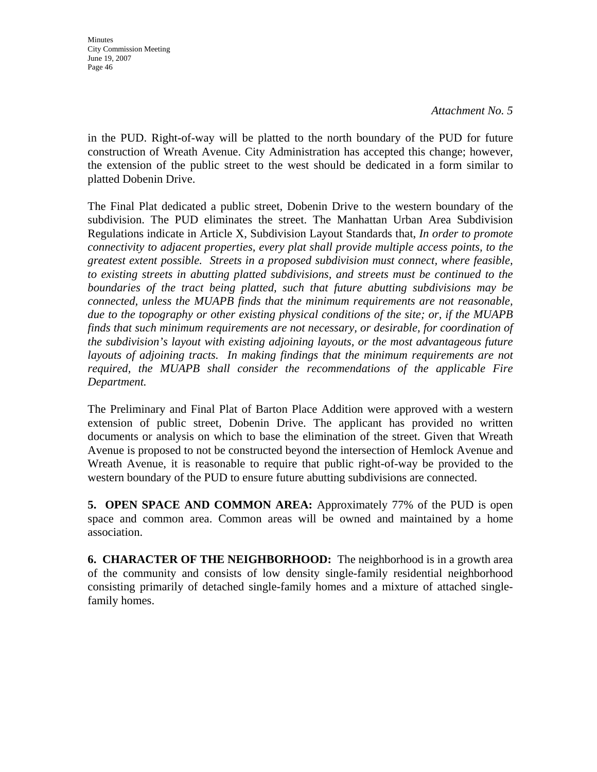*Attachment No. 5* 

in the PUD. Right-of-way will be platted to the north boundary of the PUD for future construction of Wreath Avenue. City Administration has accepted this change; however, the extension of the public street to the west should be dedicated in a form similar to platted Dobenin Drive.

The Final Plat dedicated a public street, Dobenin Drive to the western boundary of the subdivision. The PUD eliminates the street. The Manhattan Urban Area Subdivision Regulations indicate in Article X, Subdivision Layout Standards that, *In order to promote connectivity to adjacent properties, every plat shall provide multiple access points, to the greatest extent possible. Streets in a proposed subdivision must connect, where feasible, to existing streets in abutting platted subdivisions, and streets must be continued to the boundaries of the tract being platted, such that future abutting subdivisions may be connected, unless the MUAPB finds that the minimum requirements are not reasonable, due to the topography or other existing physical conditions of the site; or, if the MUAPB finds that such minimum requirements are not necessary, or desirable, for coordination of the subdivision's layout with existing adjoining layouts, or the most advantageous future*  layouts of adjoining tracts. In making findings that the minimum requirements are not *required, the MUAPB shall consider the recommendations of the applicable Fire Department.*

The Preliminary and Final Plat of Barton Place Addition were approved with a western extension of public street, Dobenin Drive. The applicant has provided no written documents or analysis on which to base the elimination of the street. Given that Wreath Avenue is proposed to not be constructed beyond the intersection of Hemlock Avenue and Wreath Avenue, it is reasonable to require that public right-of-way be provided to the western boundary of the PUD to ensure future abutting subdivisions are connected.

**5. OPEN SPACE AND COMMON AREA:** Approximately 77% of the PUD is open space and common area. Common areas will be owned and maintained by a home association.

**6. CHARACTER OF THE NEIGHBORHOOD:** The neighborhood is in a growth area of the community and consists of low density single-family residential neighborhood consisting primarily of detached single-family homes and a mixture of attached singlefamily homes.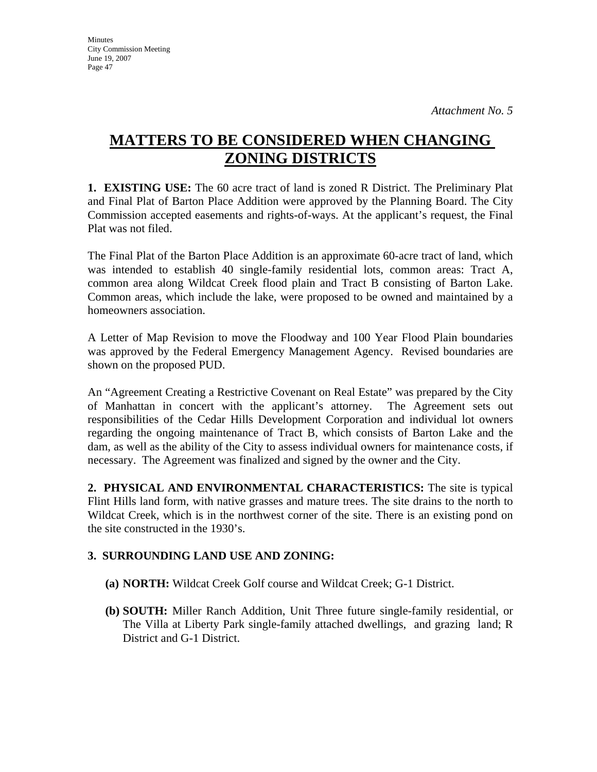# **MATTERS TO BE CONSIDERED WHEN CHANGING ZONING DISTRICTS**

**1. EXISTING USE:** The 60 acre tract of land is zoned R District. The Preliminary Plat and Final Plat of Barton Place Addition were approved by the Planning Board. The City Commission accepted easements and rights-of-ways. At the applicant's request, the Final Plat was not filed.

The Final Plat of the Barton Place Addition is an approximate 60-acre tract of land, which was intended to establish 40 single-family residential lots, common areas: Tract A, common area along Wildcat Creek flood plain and Tract B consisting of Barton Lake. Common areas, which include the lake, were proposed to be owned and maintained by a homeowners association.

A Letter of Map Revision to move the Floodway and 100 Year Flood Plain boundaries was approved by the Federal Emergency Management Agency. Revised boundaries are shown on the proposed PUD.

An "Agreement Creating a Restrictive Covenant on Real Estate" was prepared by the City of Manhattan in concert with the applicant's attorney. The Agreement sets out responsibilities of the Cedar Hills Development Corporation and individual lot owners regarding the ongoing maintenance of Tract B, which consists of Barton Lake and the dam, as well as the ability of the City to assess individual owners for maintenance costs, if necessary. The Agreement was finalized and signed by the owner and the City.

**2. PHYSICAL AND ENVIRONMENTAL CHARACTERISTICS:** The site is typical Flint Hills land form, with native grasses and mature trees. The site drains to the north to Wildcat Creek, which is in the northwest corner of the site. There is an existing pond on the site constructed in the 1930's.

# **3. SURROUNDING LAND USE AND ZONING:**

- **(a) NORTH:** Wildcat Creek Golf course and Wildcat Creek; G-1 District.
- **(b) SOUTH:** Miller Ranch Addition, Unit Three future single-family residential, or The Villa at Liberty Park single-family attached dwellings, and grazing land; R District and G-1 District.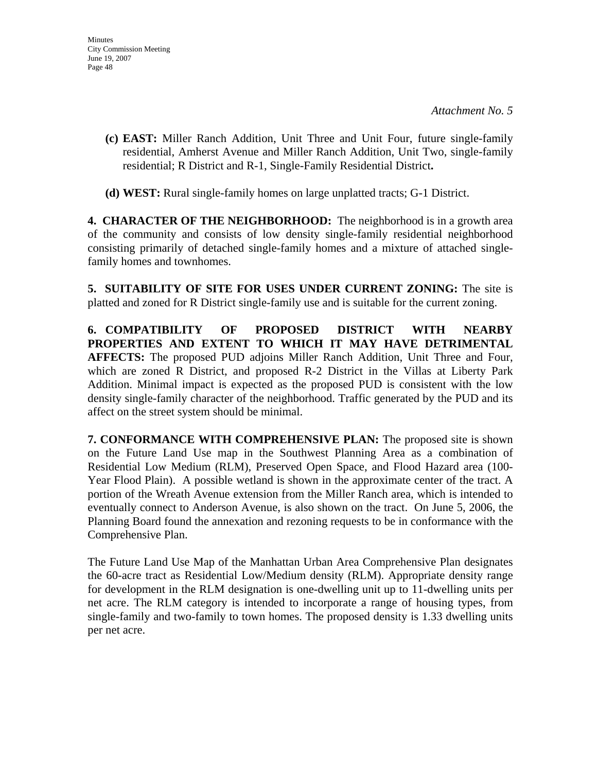- **(c) EAST:** Miller Ranch Addition, Unit Three and Unit Four, future single-family residential, Amherst Avenue and Miller Ranch Addition, Unit Two, single-family residential; R District and R-1, Single-Family Residential District**.**
- **(d) WEST:** Rural single-family homes on large unplatted tracts; G-1 District.

**4. CHARACTER OF THE NEIGHBORHOOD:** The neighborhood is in a growth area of the community and consists of low density single-family residential neighborhood consisting primarily of detached single-family homes and a mixture of attached singlefamily homes and townhomes.

**5. SUITABILITY OF SITE FOR USES UNDER CURRENT ZONING:** The site is platted and zoned for R District single-family use and is suitable for the current zoning.

**6. COMPATIBILITY OF PROPOSED DISTRICT WITH NEARBY PROPERTIES AND EXTENT TO WHICH IT MAY HAVE DETRIMENTAL AFFECTS:** The proposed PUD adjoins Miller Ranch Addition, Unit Three and Four, which are zoned R District, and proposed R-2 District in the Villas at Liberty Park Addition. Minimal impact is expected as the proposed PUD is consistent with the low density single-family character of the neighborhood. Traffic generated by the PUD and its affect on the street system should be minimal.

**7. CONFORMANCE WITH COMPREHENSIVE PLAN:** The proposed site is shown on the Future Land Use map in the Southwest Planning Area as a combination of Residential Low Medium (RLM), Preserved Open Space, and Flood Hazard area (100- Year Flood Plain). A possible wetland is shown in the approximate center of the tract. A portion of the Wreath Avenue extension from the Miller Ranch area, which is intended to eventually connect to Anderson Avenue, is also shown on the tract. On June 5, 2006, the Planning Board found the annexation and rezoning requests to be in conformance with the Comprehensive Plan.

The Future Land Use Map of the Manhattan Urban Area Comprehensive Plan designates the 60-acre tract as Residential Low/Medium density (RLM). Appropriate density range for development in the RLM designation is one-dwelling unit up to 11-dwelling units per net acre. The RLM category is intended to incorporate a range of housing types, from single-family and two-family to town homes. The proposed density is 1.33 dwelling units per net acre.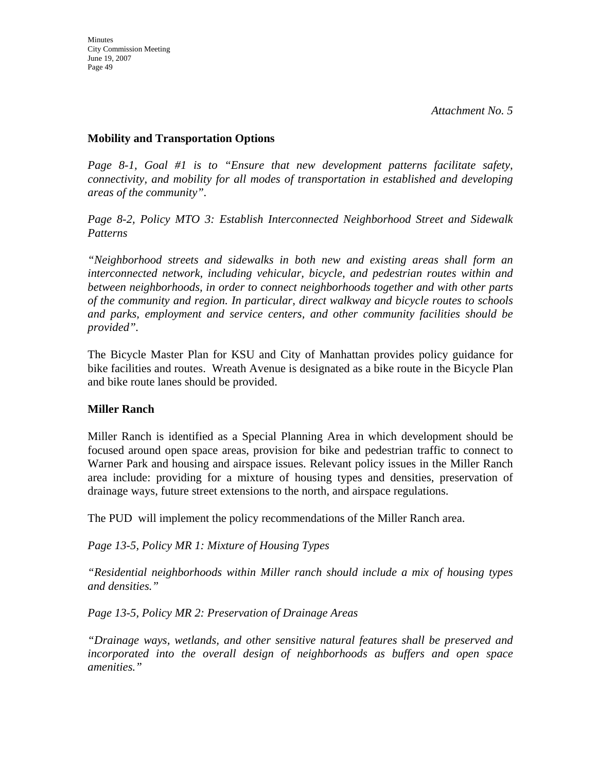### **Mobility and Transportation Options**

*Page 8-1, Goal #1 is to "Ensure that new development patterns facilitate safety, connectivity, and mobility for all modes of transportation in established and developing areas of the community".* 

*Page 8-2, Policy MTO 3: Establish Interconnected Neighborhood Street and Sidewalk Patterns* 

*"Neighborhood streets and sidewalks in both new and existing areas shall form an interconnected network, including vehicular, bicycle, and pedestrian routes within and between neighborhoods, in order to connect neighborhoods together and with other parts of the community and region. In particular, direct walkway and bicycle routes to schools and parks, employment and service centers, and other community facilities should be provided".* 

The Bicycle Master Plan for KSU and City of Manhattan provides policy guidance for bike facilities and routes. Wreath Avenue is designated as a bike route in the Bicycle Plan and bike route lanes should be provided.

# **Miller Ranch**

Miller Ranch is identified as a Special Planning Area in which development should be focused around open space areas, provision for bike and pedestrian traffic to connect to Warner Park and housing and airspace issues. Relevant policy issues in the Miller Ranch area include: providing for a mixture of housing types and densities, preservation of drainage ways, future street extensions to the north, and airspace regulations.

The PUD will implement the policy recommendations of the Miller Ranch area.

*Page 13-5, Policy MR 1: Mixture of Housing Types* 

*"Residential neighborhoods within Miller ranch should include a mix of housing types and densities."* 

*Page 13-5, Policy MR 2: Preservation of Drainage Areas* 

*"Drainage ways, wetlands, and other sensitive natural features shall be preserved and incorporated into the overall design of neighborhoods as buffers and open space amenities."*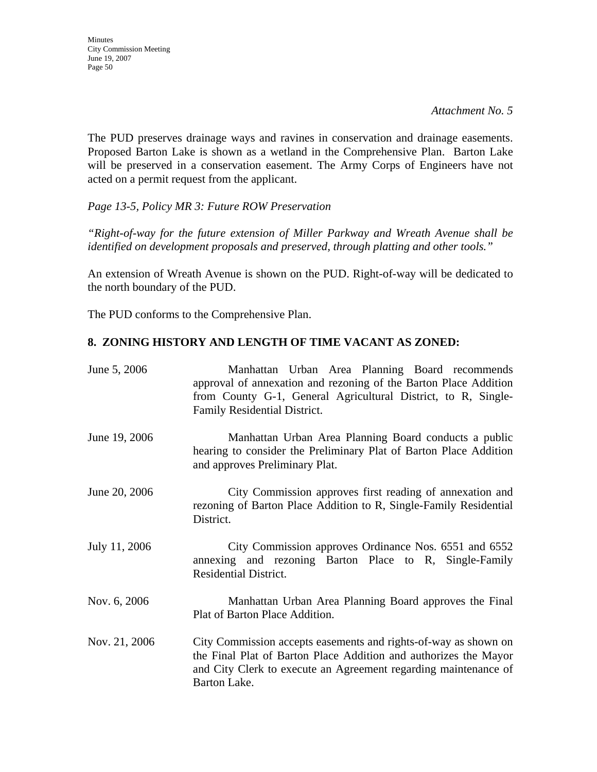*Attachment No. 5* 

The PUD preserves drainage ways and ravines in conservation and drainage easements. Proposed Barton Lake is shown as a wetland in the Comprehensive Plan. Barton Lake will be preserved in a conservation easement. The Army Corps of Engineers have not acted on a permit request from the applicant.

*Page 13-5, Policy MR 3: Future ROW Preservation* 

*"Right-of-way for the future extension of Miller Parkway and Wreath Avenue shall be identified on development proposals and preserved, through platting and other tools."* 

An extension of Wreath Avenue is shown on the PUD. Right-of-way will be dedicated to the north boundary of the PUD.

The PUD conforms to the Comprehensive Plan.

# **8. ZONING HISTORY AND LENGTH OF TIME VACANT AS ZONED:**

| June 5, 2006  | Manhattan Urban Area Planning Board recommends<br>approval of annexation and rezoning of the Barton Place Addition<br>from County G-1, General Agricultural District, to R, Single-<br>Family Residential District.    |
|---------------|------------------------------------------------------------------------------------------------------------------------------------------------------------------------------------------------------------------------|
| June 19, 2006 | Manhattan Urban Area Planning Board conducts a public<br>hearing to consider the Preliminary Plat of Barton Place Addition<br>and approves Preliminary Plat.                                                           |
| June 20, 2006 | City Commission approves first reading of annexation and<br>rezoning of Barton Place Addition to R, Single-Family Residential<br>District.                                                                             |
| July 11, 2006 | City Commission approves Ordinance Nos. 6551 and 6552<br>annexing and rezoning Barton Place to R, Single-Family<br><b>Residential District.</b>                                                                        |
| Nov. 6, 2006  | Manhattan Urban Area Planning Board approves the Final<br>Plat of Barton Place Addition.                                                                                                                               |
| Nov. 21, 2006 | City Commission accepts easements and rights-of-way as shown on<br>the Final Plat of Barton Place Addition and authorizes the Mayor<br>and City Clerk to execute an Agreement regarding maintenance of<br>Barton Lake. |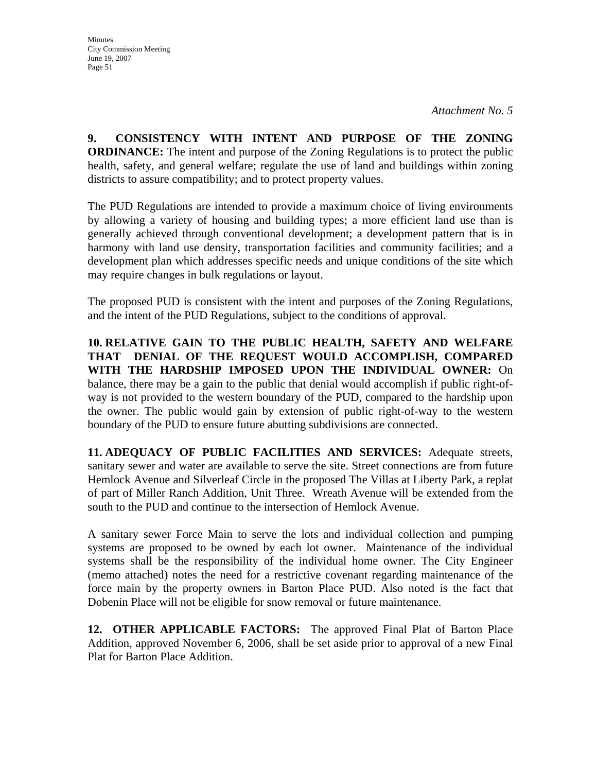**9. CONSISTENCY WITH INTENT AND PURPOSE OF THE ZONING ORDINANCE:** The intent and purpose of the Zoning Regulations is to protect the public health, safety, and general welfare; regulate the use of land and buildings within zoning districts to assure compatibility; and to protect property values.

The PUD Regulations are intended to provide a maximum choice of living environments by allowing a variety of housing and building types; a more efficient land use than is generally achieved through conventional development; a development pattern that is in harmony with land use density, transportation facilities and community facilities; and a development plan which addresses specific needs and unique conditions of the site which may require changes in bulk regulations or layout.

The proposed PUD is consistent with the intent and purposes of the Zoning Regulations, and the intent of the PUD Regulations, subject to the conditions of approval.

**10. RELATIVE GAIN TO THE PUBLIC HEALTH, SAFETY AND WELFARE THAT DENIAL OF THE REQUEST WOULD ACCOMPLISH, COMPARED WITH THE HARDSHIP IMPOSED UPON THE INDIVIDUAL OWNER:** On balance, there may be a gain to the public that denial would accomplish if public right-ofway is not provided to the western boundary of the PUD, compared to the hardship upon the owner. The public would gain by extension of public right-of-way to the western boundary of the PUD to ensure future abutting subdivisions are connected.

**11. ADEQUACY OF PUBLIC FACILITIES AND SERVICES:** Adequate streets, sanitary sewer and water are available to serve the site. Street connections are from future Hemlock Avenue and Silverleaf Circle in the proposed The Villas at Liberty Park, a replat of part of Miller Ranch Addition, Unit Three. Wreath Avenue will be extended from the south to the PUD and continue to the intersection of Hemlock Avenue.

A sanitary sewer Force Main to serve the lots and individual collection and pumping systems are proposed to be owned by each lot owner. Maintenance of the individual systems shall be the responsibility of the individual home owner. The City Engineer (memo attached) notes the need for a restrictive covenant regarding maintenance of the force main by the property owners in Barton Place PUD. Also noted is the fact that Dobenin Place will not be eligible for snow removal or future maintenance.

**12. OTHER APPLICABLE FACTORS:** The approved Final Plat of Barton Place Addition, approved November 6, 2006, shall be set aside prior to approval of a new Final Plat for Barton Place Addition.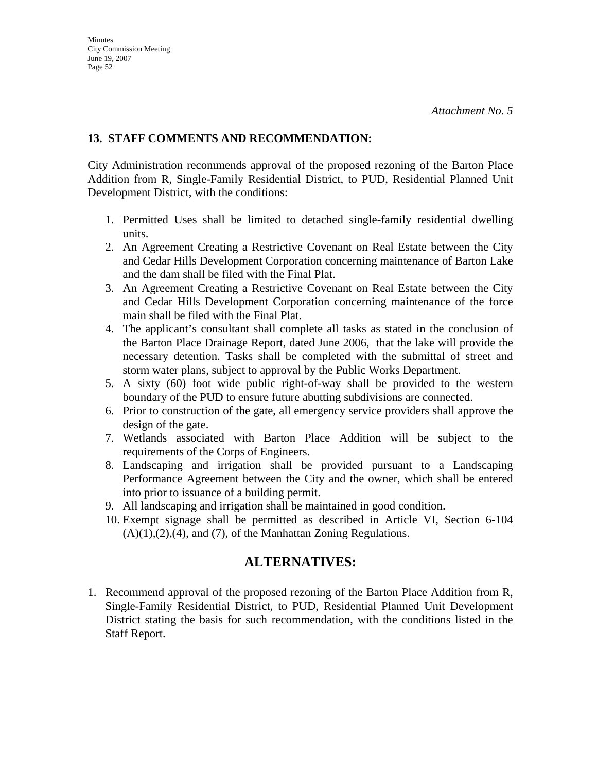# **13. STAFF COMMENTS AND RECOMMENDATION:**

City Administration recommends approval of the proposed rezoning of the Barton Place Addition from R, Single-Family Residential District, to PUD, Residential Planned Unit Development District, with the conditions:

- 1. Permitted Uses shall be limited to detached single-family residential dwelling units.
- 2. An Agreement Creating a Restrictive Covenant on Real Estate between the City and Cedar Hills Development Corporation concerning maintenance of Barton Lake and the dam shall be filed with the Final Plat.
- 3. An Agreement Creating a Restrictive Covenant on Real Estate between the City and Cedar Hills Development Corporation concerning maintenance of the force main shall be filed with the Final Plat.
- 4. The applicant's consultant shall complete all tasks as stated in the conclusion of the Barton Place Drainage Report, dated June 2006, that the lake will provide the necessary detention. Tasks shall be completed with the submittal of street and storm water plans, subject to approval by the Public Works Department.
- 5. A sixty (60) foot wide public right-of-way shall be provided to the western boundary of the PUD to ensure future abutting subdivisions are connected.
- 6. Prior to construction of the gate, all emergency service providers shall approve the design of the gate.
- 7. Wetlands associated with Barton Place Addition will be subject to the requirements of the Corps of Engineers.
- 8. Landscaping and irrigation shall be provided pursuant to a Landscaping Performance Agreement between the City and the owner, which shall be entered into prior to issuance of a building permit.
- 9. All landscaping and irrigation shall be maintained in good condition.
- 10. Exempt signage shall be permitted as described in Article VI, Section 6-104  $(A)(1),(2),(4)$ , and  $(7)$ , of the Manhattan Zoning Regulations.

# **ALTERNATIVES:**

1. Recommend approval of the proposed rezoning of the Barton Place Addition from R, Single-Family Residential District, to PUD, Residential Planned Unit Development District stating the basis for such recommendation, with the conditions listed in the Staff Report.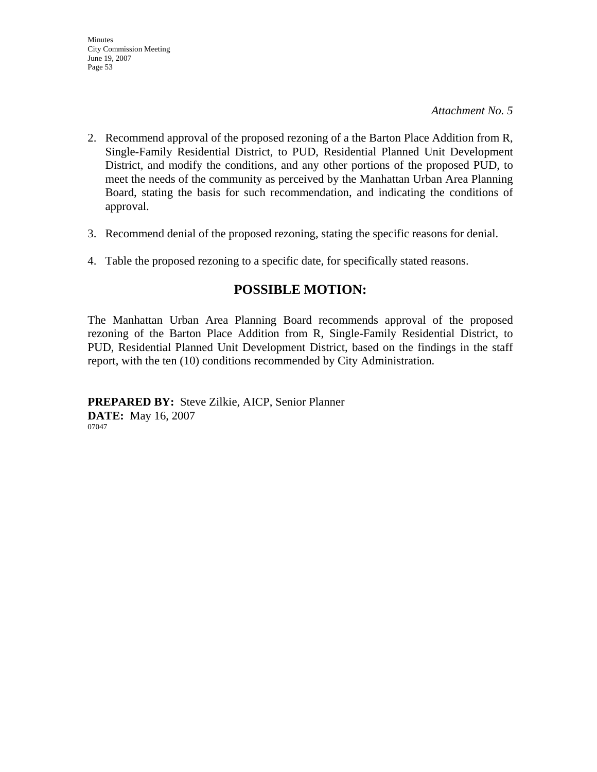*Attachment No. 5* 

- 2. Recommend approval of the proposed rezoning of a the Barton Place Addition from R, Single-Family Residential District, to PUD, Residential Planned Unit Development District, and modify the conditions, and any other portions of the proposed PUD, to meet the needs of the community as perceived by the Manhattan Urban Area Planning Board, stating the basis for such recommendation, and indicating the conditions of approval.
- 3. Recommend denial of the proposed rezoning, stating the specific reasons for denial.
- 4. Table the proposed rezoning to a specific date, for specifically stated reasons.

# **POSSIBLE MOTION:**

The Manhattan Urban Area Planning Board recommends approval of the proposed rezoning of the Barton Place Addition from R, Single-Family Residential District, to PUD, Residential Planned Unit Development District, based on the findings in the staff report, with the ten (10) conditions recommended by City Administration.

**PREPARED BY:** Steve Zilkie, AICP, Senior Planner **DATE:** May 16, 2007 07047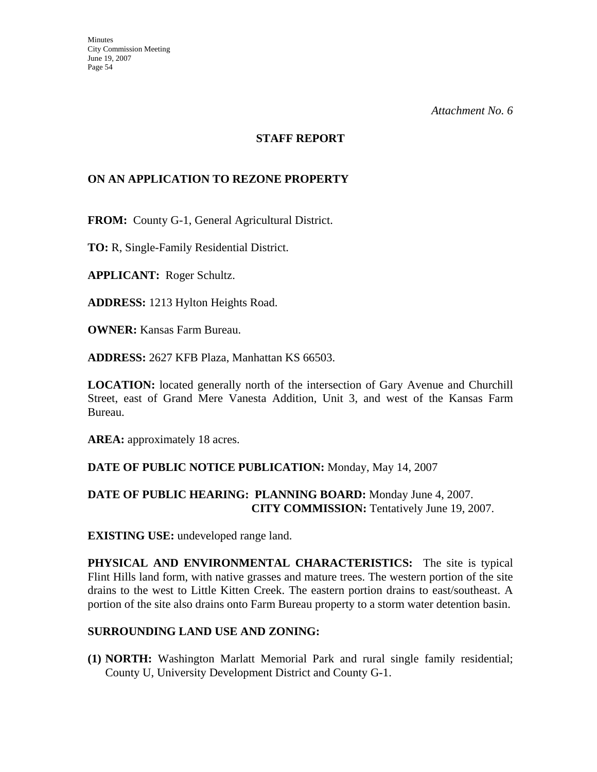### **STAFF REPORT**

# **ON AN APPLICATION TO REZONE PROPERTY**

**FROM:** County G-1, General Agricultural District.

**TO:** R, Single-Family Residential District.

**APPLICANT:** Roger Schultz.

**ADDRESS:** 1213 Hylton Heights Road.

**OWNER:** Kansas Farm Bureau.

**ADDRESS:** 2627 KFB Plaza, Manhattan KS 66503.

**LOCATION:** located generally north of the intersection of Gary Avenue and Churchill Street, east of Grand Mere Vanesta Addition, Unit 3, and west of the Kansas Farm Bureau.

AREA: approximately 18 acres.

#### **DATE OF PUBLIC NOTICE PUBLICATION:** Monday, May 14, 2007

# **DATE OF PUBLIC HEARING: PLANNING BOARD:** Monday June 4, 2007. **CITY COMMISSION:** Tentatively June 19, 2007.

**EXISTING USE:** undeveloped range land.

**PHYSICAL AND ENVIRONMENTAL CHARACTERISTICS:** The site is typical Flint Hills land form, with native grasses and mature trees. The western portion of the site drains to the west to Little Kitten Creek. The eastern portion drains to east/southeast. A portion of the site also drains onto Farm Bureau property to a storm water detention basin.

#### **SURROUNDING LAND USE AND ZONING:**

**(1) NORTH:** Washington Marlatt Memorial Park and rural single family residential; County U, University Development District and County G-1.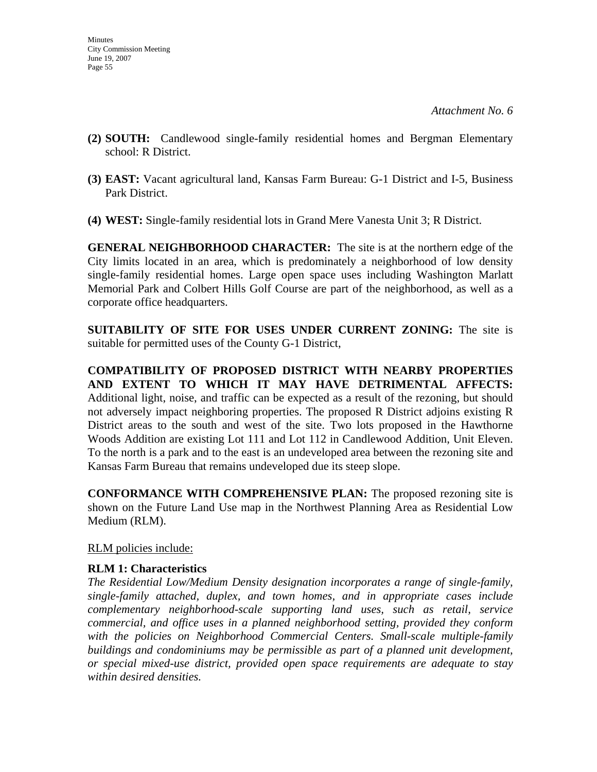- **(2) SOUTH:** Candlewood single-family residential homes and Bergman Elementary school: R District.
- **(3) EAST:** Vacant agricultural land, Kansas Farm Bureau: G-1 District and I-5, Business Park District.
- **(4) WEST:** Single-family residential lots in Grand Mere Vanesta Unit 3; R District.

**GENERAL NEIGHBORHOOD CHARACTER:** The site is at the northern edge of the City limits located in an area, which is predominately a neighborhood of low density single-family residential homes. Large open space uses including Washington Marlatt Memorial Park and Colbert Hills Golf Course are part of the neighborhood, as well as a corporate office headquarters.

**SUITABILITY OF SITE FOR USES UNDER CURRENT ZONING:** The site is suitable for permitted uses of the County G-1 District,

**COMPATIBILITY OF PROPOSED DISTRICT WITH NEARBY PROPERTIES AND EXTENT TO WHICH IT MAY HAVE DETRIMENTAL AFFECTS:**  Additional light, noise, and traffic can be expected as a result of the rezoning, but should not adversely impact neighboring properties. The proposed R District adjoins existing R District areas to the south and west of the site. Two lots proposed in the Hawthorne Woods Addition are existing Lot 111 and Lot 112 in Candlewood Addition, Unit Eleven. To the north is a park and to the east is an undeveloped area between the rezoning site and Kansas Farm Bureau that remains undeveloped due its steep slope.

**CONFORMANCE WITH COMPREHENSIVE PLAN:** The proposed rezoning site is shown on the Future Land Use map in the Northwest Planning Area as Residential Low Medium (RLM).

RLM policies include:

# **RLM 1: Characteristics**

*The Residential Low/Medium Density designation incorporates a range of single-family, single-family attached, duplex, and town homes, and in appropriate cases include complementary neighborhood-scale supporting land uses, such as retail, service commercial, and office uses in a planned neighborhood setting, provided they conform*  with the policies on Neighborhood Commercial Centers. Small-scale multiple-family *buildings and condominiums may be permissible as part of a planned unit development, or special mixed-use district, provided open space requirements are adequate to stay within desired densities.*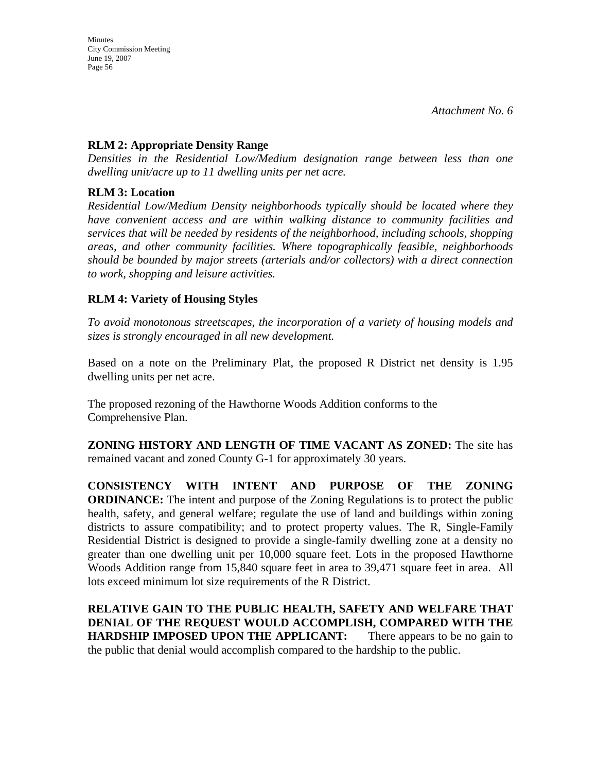### **RLM 2: Appropriate Density Range**

*Densities in the Residential Low/Medium designation range between less than one dwelling unit/acre up to 11 dwelling units per net acre.* 

### **RLM 3: Location**

*Residential Low/Medium Density neighborhoods typically should be located where they have convenient access and are within walking distance to community facilities and services that will be needed by residents of the neighborhood, including schools, shopping areas, and other community facilities. Where topographically feasible, neighborhoods should be bounded by major streets (arterials and/or collectors) with a direct connection to work, shopping and leisure activities.* 

# **RLM 4: Variety of Housing Styles**

*To avoid monotonous streetscapes, the incorporation of a variety of housing models and sizes is strongly encouraged in all new development.* 

Based on a note on the Preliminary Plat, the proposed R District net density is 1.95 dwelling units per net acre.

The proposed rezoning of the Hawthorne Woods Addition conforms to the Comprehensive Plan.

**ZONING HISTORY AND LENGTH OF TIME VACANT AS ZONED:** The site has remained vacant and zoned County G-1 for approximately 30 years.

**CONSISTENCY WITH INTENT AND PURPOSE OF THE ZONING ORDINANCE:** The intent and purpose of the Zoning Regulations is to protect the public health, safety, and general welfare; regulate the use of land and buildings within zoning districts to assure compatibility; and to protect property values. The R, Single-Family Residential District is designed to provide a single-family dwelling zone at a density no greater than one dwelling unit per 10,000 square feet. Lots in the proposed Hawthorne Woods Addition range from 15,840 square feet in area to 39,471 square feet in area. All lots exceed minimum lot size requirements of the R District.

**RELATIVE GAIN TO THE PUBLIC HEALTH, SAFETY AND WELFARE THAT DENIAL OF THE REQUEST WOULD ACCOMPLISH, COMPARED WITH THE HARDSHIP IMPOSED UPON THE APPLICANT:** There appears to be no gain to the public that denial would accomplish compared to the hardship to the public.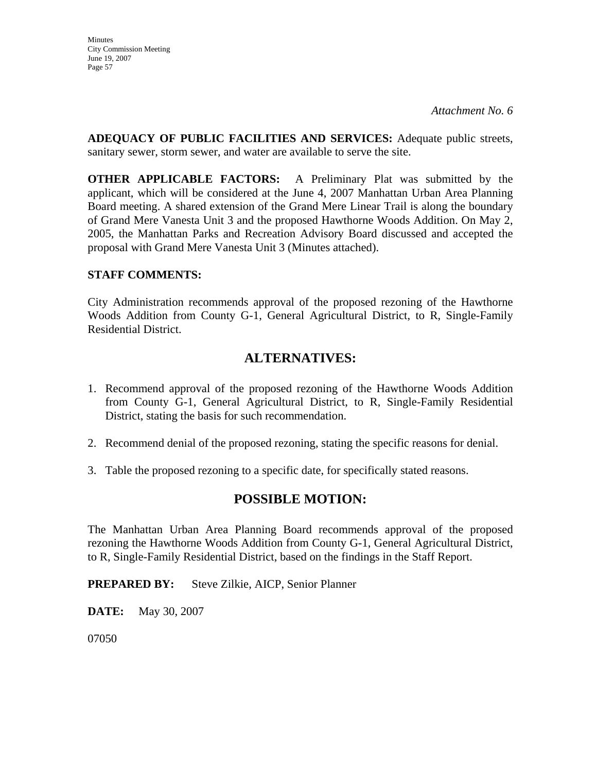**Minutes** City Commission Meeting June 19, 2007 Page 57

**ADEQUACY OF PUBLIC FACILITIES AND SERVICES:** Adequate public streets, sanitary sewer, storm sewer, and water are available to serve the site.

**OTHER APPLICABLE FACTORS:** A Preliminary Plat was submitted by the applicant, which will be considered at the June 4, 2007 Manhattan Urban Area Planning Board meeting. A shared extension of the Grand Mere Linear Trail is along the boundary of Grand Mere Vanesta Unit 3 and the proposed Hawthorne Woods Addition. On May 2, 2005, the Manhattan Parks and Recreation Advisory Board discussed and accepted the proposal with Grand Mere Vanesta Unit 3 (Minutes attached).

# **STAFF COMMENTS:**

City Administration recommends approval of the proposed rezoning of the Hawthorne Woods Addition from County G-1, General Agricultural District, to R, Single-Family Residential District.

# **ALTERNATIVES:**

- 1. Recommend approval of the proposed rezoning of the Hawthorne Woods Addition from County G-1, General Agricultural District, to R, Single-Family Residential District, stating the basis for such recommendation.
- 2. Recommend denial of the proposed rezoning, stating the specific reasons for denial.
- 3. Table the proposed rezoning to a specific date, for specifically stated reasons.

# **POSSIBLE MOTION:**

The Manhattan Urban Area Planning Board recommends approval of the proposed rezoning the Hawthorne Woods Addition from County G-1, General Agricultural District, to R, Single-Family Residential District, based on the findings in the Staff Report.

**PREPARED BY:** Steve Zilkie, AICP, Senior Planner

**DATE:** May 30, 2007

07050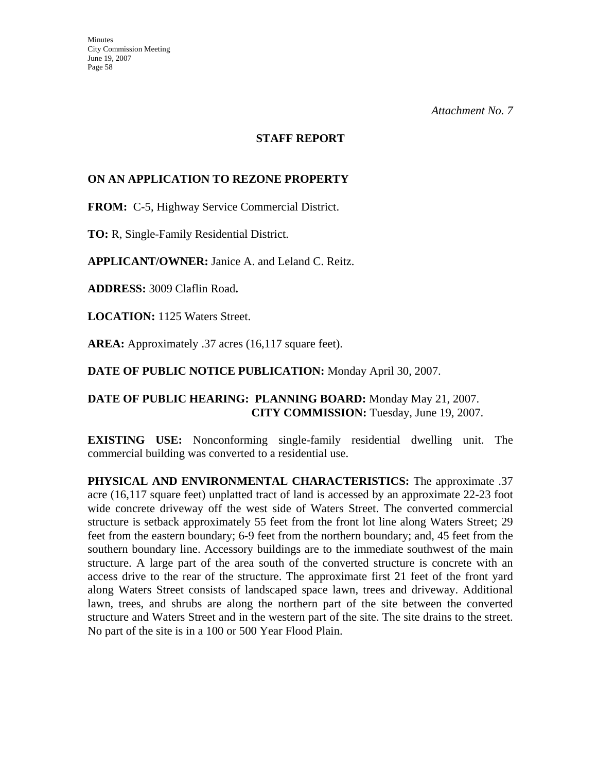### **STAFF REPORT**

# **ON AN APPLICATION TO REZONE PROPERTY**

**FROM:** C-5, Highway Service Commercial District.

**TO:** R, Single-Family Residential District.

**APPLICANT/OWNER:** Janice A. and Leland C. Reitz.

**ADDRESS:** 3009 Claflin Road**.**

**LOCATION:** 1125 Waters Street.

**AREA:** Approximately .37 acres (16,117 square feet).

**DATE OF PUBLIC NOTICE PUBLICATION:** Monday April 30, 2007.

# **DATE OF PUBLIC HEARING: PLANNING BOARD:** Monday May 21, 2007. **CITY COMMISSION:** Tuesday, June 19, 2007.

**EXISTING USE:** Nonconforming single-family residential dwelling unit. The commercial building was converted to a residential use.

**PHYSICAL AND ENVIRONMENTAL CHARACTERISTICS:** The approximate .37 acre (16,117 square feet) unplatted tract of land is accessed by an approximate 22-23 foot wide concrete driveway off the west side of Waters Street. The converted commercial structure is setback approximately 55 feet from the front lot line along Waters Street; 29 feet from the eastern boundary; 6-9 feet from the northern boundary; and, 45 feet from the southern boundary line. Accessory buildings are to the immediate southwest of the main structure. A large part of the area south of the converted structure is concrete with an access drive to the rear of the structure. The approximate first 21 feet of the front yard along Waters Street consists of landscaped space lawn, trees and driveway. Additional lawn, trees, and shrubs are along the northern part of the site between the converted structure and Waters Street and in the western part of the site. The site drains to the street. No part of the site is in a 100 or 500 Year Flood Plain.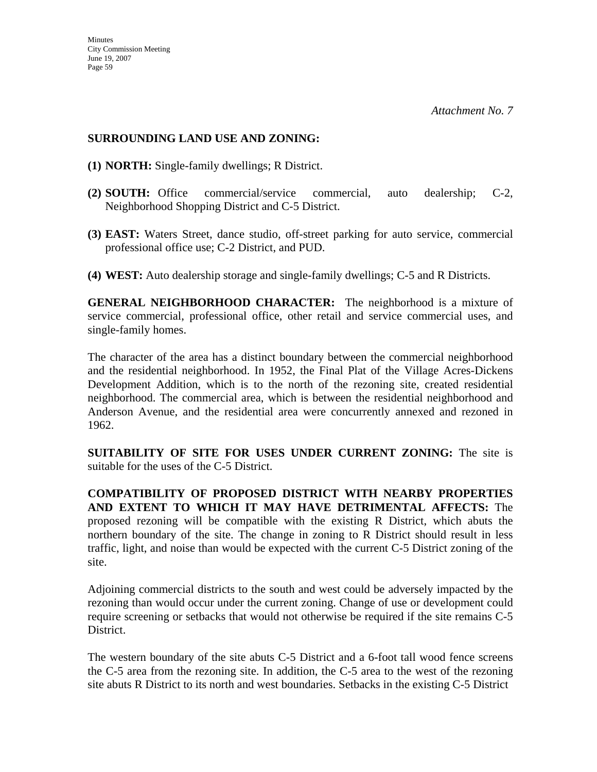# **SURROUNDING LAND USE AND ZONING:**

- **(1) NORTH:** Single-family dwellings; R District.
- **(2) SOUTH:** Office commercial/service commercial, auto dealership; C-2, Neighborhood Shopping District and C-5 District.
- **(3) EAST:** Waters Street, dance studio, off-street parking for auto service, commercial professional office use; C-2 District, and PUD.
- **(4) WEST:** Auto dealership storage and single-family dwellings; C-5 and R Districts.

**GENERAL NEIGHBORHOOD CHARACTER:** The neighborhood is a mixture of service commercial, professional office, other retail and service commercial uses, and single-family homes.

The character of the area has a distinct boundary between the commercial neighborhood and the residential neighborhood. In 1952, the Final Plat of the Village Acres-Dickens Development Addition, which is to the north of the rezoning site, created residential neighborhood. The commercial area, which is between the residential neighborhood and Anderson Avenue, and the residential area were concurrently annexed and rezoned in 1962.

**SUITABILITY OF SITE FOR USES UNDER CURRENT ZONING:** The site is suitable for the uses of the C-5 District.

**COMPATIBILITY OF PROPOSED DISTRICT WITH NEARBY PROPERTIES AND EXTENT TO WHICH IT MAY HAVE DETRIMENTAL AFFECTS:** The proposed rezoning will be compatible with the existing R District, which abuts the northern boundary of the site. The change in zoning to R District should result in less traffic, light, and noise than would be expected with the current C-5 District zoning of the site.

Adjoining commercial districts to the south and west could be adversely impacted by the rezoning than would occur under the current zoning. Change of use or development could require screening or setbacks that would not otherwise be required if the site remains C-5 District.

The western boundary of the site abuts C-5 District and a 6-foot tall wood fence screens the C-5 area from the rezoning site. In addition, the C-5 area to the west of the rezoning site abuts R District to its north and west boundaries. Setbacks in the existing C-5 District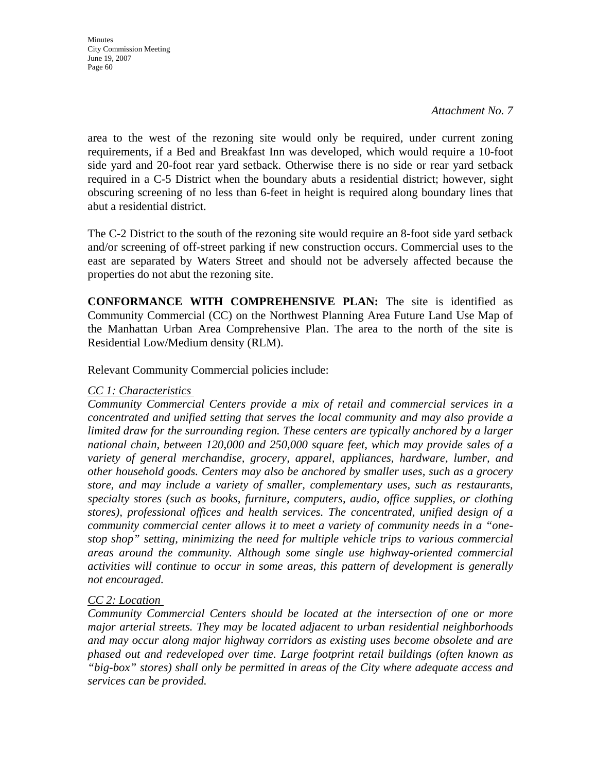*Attachment No. 7* 

area to the west of the rezoning site would only be required, under current zoning requirements, if a Bed and Breakfast Inn was developed, which would require a 10-foot side yard and 20-foot rear yard setback. Otherwise there is no side or rear yard setback required in a C-5 District when the boundary abuts a residential district; however, sight obscuring screening of no less than 6-feet in height is required along boundary lines that abut a residential district.

The C-2 District to the south of the rezoning site would require an 8-foot side yard setback and/or screening of off-street parking if new construction occurs. Commercial uses to the east are separated by Waters Street and should not be adversely affected because the properties do not abut the rezoning site.

**CONFORMANCE WITH COMPREHENSIVE PLAN:** The site is identified as Community Commercial (CC) on the Northwest Planning Area Future Land Use Map of the Manhattan Urban Area Comprehensive Plan. The area to the north of the site is Residential Low/Medium density (RLM).

Relevant Community Commercial policies include:

### *CC 1: Characteristics*

*Community Commercial Centers provide a mix of retail and commercial services in a concentrated and unified setting that serves the local community and may also provide a limited draw for the surrounding region. These centers are typically anchored by a larger national chain, between 120,000 and 250,000 square feet, which may provide sales of a variety of general merchandise, grocery, apparel, appliances, hardware, lumber, and other household goods. Centers may also be anchored by smaller uses, such as a grocery store, and may include a variety of smaller, complementary uses, such as restaurants, specialty stores (such as books, furniture, computers, audio, office supplies, or clothing stores), professional offices and health services. The concentrated, unified design of a community commercial center allows it to meet a variety of community needs in a "onestop shop" setting, minimizing the need for multiple vehicle trips to various commercial areas around the community. Although some single use highway-oriented commercial activities will continue to occur in some areas, this pattern of development is generally not encouraged.* 

# *CC 2: Location*

*Community Commercial Centers should be located at the intersection of one or more major arterial streets. They may be located adjacent to urban residential neighborhoods and may occur along major highway corridors as existing uses become obsolete and are phased out and redeveloped over time. Large footprint retail buildings (often known as "big-box" stores) shall only be permitted in areas of the City where adequate access and services can be provided.*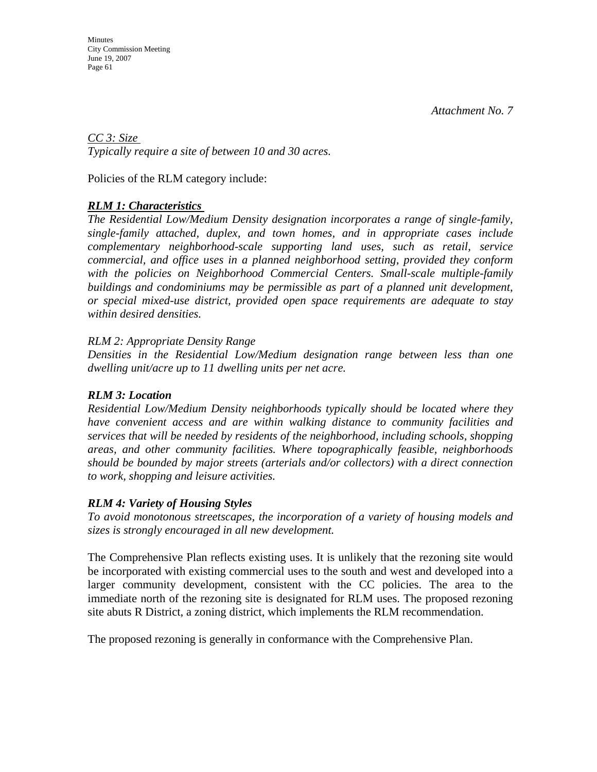*CC 3: Size Typically require a site of between 10 and 30 acres.* 

Policies of the RLM category include:

# *RLM 1: Characteristics*

*The Residential Low/Medium Density designation incorporates a range of single-family, single-family attached, duplex, and town homes, and in appropriate cases include complementary neighborhood-scale supporting land uses, such as retail, service commercial, and office uses in a planned neighborhood setting, provided they conform*  with the policies on Neighborhood Commercial Centers. Small-scale multiple-family *buildings and condominiums may be permissible as part of a planned unit development, or special mixed-use district, provided open space requirements are adequate to stay within desired densities.* 

# *RLM 2: Appropriate Density Range*

*Densities in the Residential Low/Medium designation range between less than one dwelling unit/acre up to 11 dwelling units per net acre.* 

# *RLM 3: Location*

*Residential Low/Medium Density neighborhoods typically should be located where they have convenient access and are within walking distance to community facilities and services that will be needed by residents of the neighborhood, including schools, shopping areas, and other community facilities. Where topographically feasible, neighborhoods should be bounded by major streets (arterials and/or collectors) with a direct connection to work, shopping and leisure activities.* 

# *RLM 4: Variety of Housing Styles*

*To avoid monotonous streetscapes, the incorporation of a variety of housing models and sizes is strongly encouraged in all new development.* 

The Comprehensive Plan reflects existing uses. It is unlikely that the rezoning site would be incorporated with existing commercial uses to the south and west and developed into a larger community development, consistent with the CC policies. The area to the immediate north of the rezoning site is designated for RLM uses. The proposed rezoning site abuts R District, a zoning district, which implements the RLM recommendation.

The proposed rezoning is generally in conformance with the Comprehensive Plan.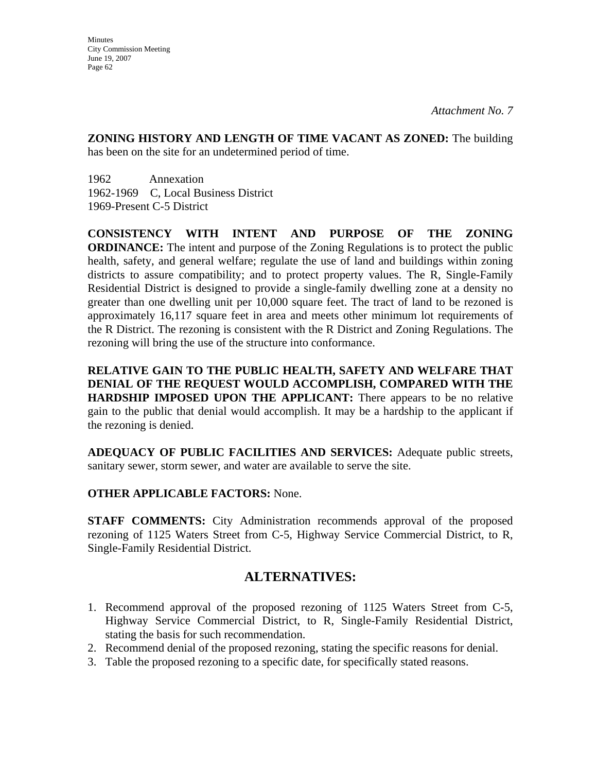**ZONING HISTORY AND LENGTH OF TIME VACANT AS ZONED:** The building has been on the site for an undetermined period of time.

1962 Annexation 1962-1969 C, Local Business District 1969-Present C-5 District

**CONSISTENCY WITH INTENT AND PURPOSE OF THE ZONING ORDINANCE:** The intent and purpose of the Zoning Regulations is to protect the public health, safety, and general welfare; regulate the use of land and buildings within zoning districts to assure compatibility; and to protect property values. The R, Single-Family Residential District is designed to provide a single-family dwelling zone at a density no greater than one dwelling unit per 10,000 square feet. The tract of land to be rezoned is approximately 16,117 square feet in area and meets other minimum lot requirements of the R District. The rezoning is consistent with the R District and Zoning Regulations. The rezoning will bring the use of the structure into conformance.

**RELATIVE GAIN TO THE PUBLIC HEALTH, SAFETY AND WELFARE THAT DENIAL OF THE REQUEST WOULD ACCOMPLISH, COMPARED WITH THE HARDSHIP IMPOSED UPON THE APPLICANT:** There appears to be no relative gain to the public that denial would accomplish. It may be a hardship to the applicant if the rezoning is denied.

**ADEQUACY OF PUBLIC FACILITIES AND SERVICES:** Adequate public streets, sanitary sewer, storm sewer, and water are available to serve the site.

# **OTHER APPLICABLE FACTORS:** None.

**STAFF COMMENTS:** City Administration recommends approval of the proposed rezoning of 1125 Waters Street from C-5, Highway Service Commercial District, to R, Single-Family Residential District.

# **ALTERNATIVES:**

- 1. Recommend approval of the proposed rezoning of 1125 Waters Street from C-5, Highway Service Commercial District, to R, Single-Family Residential District, stating the basis for such recommendation.
- 2. Recommend denial of the proposed rezoning, stating the specific reasons for denial.
- 3. Table the proposed rezoning to a specific date, for specifically stated reasons.